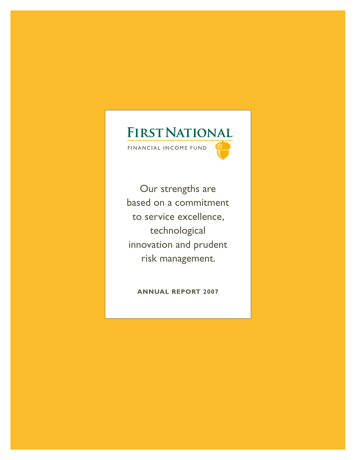

Our strengths are based on a commitment to service excellence, technological innovation and prudent risk management.

**Annual Report 2007**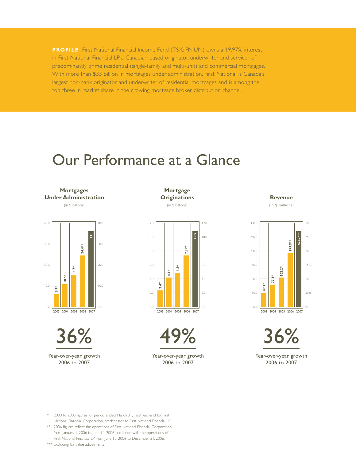**PROFILE** First National Financial Income Fund (TSX: FN.UN) owns a 19.97% interest in First National Financial LP, a Canadian-based originator, underwriter and servicer of predominantly prime residential (single-family and multi-unit) and commercial mortgages. With more than \$33 billion in mortgages under administration, First National is Canada's largest non-bank originator and underwriter of residential mortgages and is among the top three in market share in the growing mortgage broker distribution channel.

# Our Performance at a Glance





36%

Year-over-year growth 2006 to 2007





49%

Year-over-year growth 2006 to 2007



(in \$ millions)



36%

Year-over-year growth 2006 to 2007

\* 2003 to 2005 figures for period ended March 31, fiscal year-end for First National Financial Corporation, predecessor to First National Financial LP.

\*\* 2006 figures reflect the operations of First National Financial Corporation from January 1, 2006 to June 14, 2006 combined with the operations of First National Financial LP from June 15, 2006 to December 31, 2006. \*\*\* Excluding fair value adjustments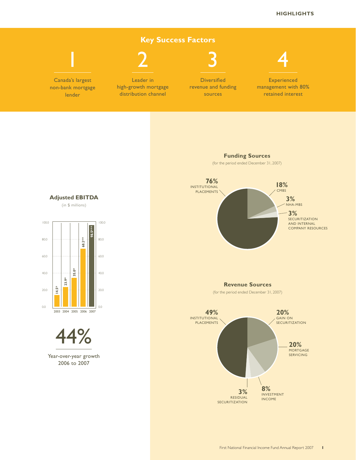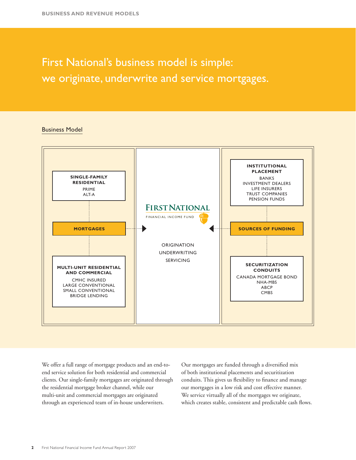# First National's business model is simple: we originate, underwrite and service mortgages.

## Business Model



We offer a full range of mortgage products and an end-toend service solution for both residential and commercial clients. Our single-family mortgages are originated through the residential mortgage broker channel, while our multi-unit and commercial mortgages are originated through an experienced team of in-house underwriters.

Our mortgages are funded through a diversified mix of both institutional placements and securitization conduits. This gives us flexibility to finance and manage our mortgages in a low risk and cost effective manner. We service virtually all of the mortgages we originate, which creates stable, consistent and predictable cash flows.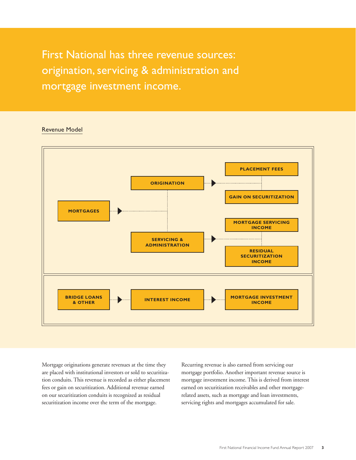First National has three revenue sources: origination, servicing & administration and mortgage investment income.

## Revenue Model



Mortgage originations generate revenues at the time they are placed with institutional investors or sold to securitization conduits. This revenue is recorded as either placement fees or gain on securitization. Additional revenue earned on our securitization conduits is recognized as residual securitization income over the term of the mortgage.

Recurring revenue is also earned from servicing our mortgage portfolio. Another important revenue source is mortgage investment income. This is derived from interest earned on securitization receivables and other mortgagerelated assets, such as mortgage and loan investments, servicing rights and mortgages accumulated for sale.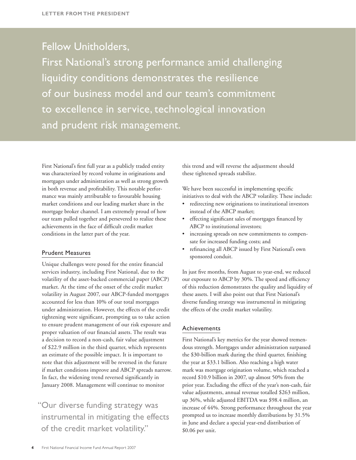# Fellow Unitholders,

First National's strong performance amid challenging liquidity conditions demonstrates the resilience of our business model and our team's commitment to excellence in service, technological innovation and prudent risk management.

First National's first full year as a publicly traded entity was characterized by record volume in originations and mortgages under administration as well as strong growth in both revenue and profitability. This notable performance was mainly attributable to favourable housing market conditions and our leading market share in the mortgage broker channel. I am extremely proud of how our team pulled together and persevered to realize these achievements in the face of difficult credit market conditions in the latter part of the year.

## Prudent Measures

Unique challenges were posed for the entire financial services industry, including First National, due to the volatility of the asset-backed commercial paper (ABCP) market. At the time of the onset of the credit market volatility in August 2007, our ABCP-funded mortgages accounted for less than 10% of our total mortgages under administration. However, the effects of the credit tightening were significant, prompting us to take action to ensure prudent management of our risk exposure and proper valuation of our financial assets. The result was a decision to record a non-cash, fair value adjustment of \$22.9 million in the third quarter, which represents an estimate of the possible impact. It is important to note that this adjustment will be reversed in the future if market conditions improve and ABCP spreads narrow. In fact, the widening trend reversed significantly in January 2008. Management will continue to monitor

"Our diverse funding strategy was instrumental in mitigating the effects of the credit market volatility."

this trend and will reverse the adjustment should these tightened spreads stabilize.

We have been successful in implementing specific initiatives to deal with the ABCP volatility. These include:

- • redirecting new originations to institutional investors instead of the ABCP market;
- effecting significant sales of mortgages financed by ABCP to institutional investors;
- increasing spreads on new commitments to compensate for increased funding costs; and
- • refinancing all ABCP issued by First National's own sponsored conduit.

In just five months, from August to year-end, we reduced our exposure to ABCP by 30%. The speed and efficiency of this reduction demonstrates the quality and liquidity of these assets. I will also point out that First National's diverse funding strategy was instrumental in mitigating the effects of the credit market volatility.

## Achievements

First National's key metrics for the year showed tremendous strength. Mortgages under administration surpassed the \$30-billion mark during the third quarter, finishing the year at \$33.1 billion. Also reaching a high water mark was mortgage origination volume, which reached a record \$10.9 billion in 2007, up almost 50% from the prior year. Excluding the effect of the year's non-cash, fair value adjustments, annual revenue totalled \$263 million, up 36%, while adjusted EBITDA was \$98.4 million, an increase of 44%. Strong performance throughout the year prompted us to increase monthly distributions by 31.5% in June and declare a special year-end distribution of \$0.06 per unit.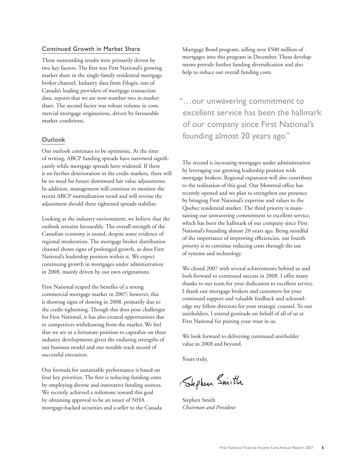## Continued Growth in Market Share

These outstanding results were primarily driven by two key factors. The first was First National's growing market share in the single-family residential mortgage broker channel. Industry data from Filogix, one of Canada's leading providers of mortgage transaction data, reports that we are now number two in market share. The second factor was robust volume in commercial mortgage originations, driven by favourable market conditions.

## **Outlook**

Our outlook continues to be optimistic. At the time of writing, ABCP funding spreads have narrowed significantly while mortgage spreads have widened. If there is no further deterioration in the credit markets, there will be no need for future downward fair value adjustments. In addition, management will continue to monitor the recent ABCP normalization trend and will reverse the adjustment should these tightened spreads stabilize.

Looking at the industry environment, we believe that the outlook remains favourable. The overall strength of the Canadian economy is sound, despite some evidence of regional moderation. The mortgage broker distribution channel shows signs of prolonged growth, as does First National's leadership position within it. We expect continuing growth in mortgages under administration in 2008, mainly driven by our own originations.

First National reaped the benefits of a strong commercial mortgage market in 2007; however, this is showing signs of slowing in 2008, primarily due to the credit tightening. Though this does pose challenges for First National, it has also created opportunities due to competitors withdrawing from the market. We feel that we are in a fortunate position to capitalize on these industry developments given the enduring strengths of our business model and our notable track record of successful execution.

Our formula for sustainable performance is based on four key priorities. The first is reducing funding costs by employing diverse and innovative funding sources. We recently achieved a milestone toward this goal by obtaining approval to be an issuer of NHA mortgage-backed securities and a seller to the Canada Mortgage Bond program, selling over \$500 million of mortgages into this program in December. These developments provide further funding diversification and also help to reduce our overall funding costs.

"…our unwavering commitment to excellent service has been the hallmark of our company since First National's founding almost 20 years ago."

The second is increasing mortgages under administration by leveraging our growing leadership position with mortgage brokers. Regional expansion will also contribute to the realization of this goal. Our Montreal office has recently opened and we plan to strengthen our presence by bringing First National's expertise and values to the Quebec residential market. The third priority is maintaining our unwavering commitment to excellent service, which has been the hallmark of our company since First National's founding almost 20 years ago. Being mindful of the importance of improving efficiencies, our fourth priority is to continue reducing costs through the use of systems and technology.

We closed 2007 with several achievements behind us and look forward to continued success in 2008. I offer many thanks to our team for your dedication to excellent service. I thank our mortgage brokers and customers for your continued support and valuable feedback and acknowledge my fellow directors for your strategic counsel. To our unitholders, I extend gratitude on behalf of all of us at First National for putting your trust in us.

We look forward to delivering continued unitholder value in 2008 and beyond.

Yours truly,

Stephen Smith

Stephen Smith *Chairman and President*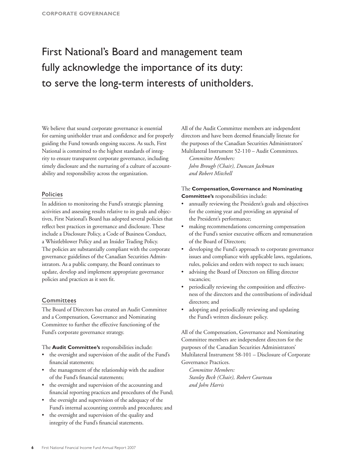# First National's Board and management team fully acknowledge the importance of its duty: to serve the long-term interests of unitholders.

We believe that sound corporate governance is essential for earning unitholder trust and confidence and for properly guiding the Fund towards ongoing success. As such, First National is committed to the highest standards of integrity to ensure transparent corporate governance, including timely disclosure and the nurturing of a culture of accountability and responsibility across the organization.

## Policies

In addition to monitoring the Fund's strategic planning activities and assessing results relative to its goals and objectives, First National's Board has adopted several policies that reflect best practices in governance and disclosure. These include a Disclosure Policy, a Code of Business Conduct, a Whistleblower Policy and an Insider Trading Policy. The policies are substantially compliant with the corporate governance guidelines of the Canadian Securities Administrators. As a public company, the Board continues to update, develop and implement appropriate governance policies and practices as it sees fit.

## Committees

The Board of Directors has created an Audit Committee and a Compensation, Governance and Nominating Committee to further the effective functioning of the Fund's corporate governance strategy.

The **Audit Committee's** responsibilities include:

- the oversight and supervision of the audit of the Fund's financial statements;
- • the management of the relationship with the auditor of the Fund's financial statements;
- the oversight and supervision of the accounting and financial reporting practices and procedures of the Fund;
- • the oversight and supervision of the adequacy of the Fund's internal accounting controls and procedures; and
- the oversight and supervision of the quality and integrity of the Fund's financial statements.

All of the Audit Committee members are independent directors and have been deemed financially literate for the purposes of the Canadian Securities Administrators' Multilateral Instrument 52-110 – Audit Committees.

*Committee Members: John Brough (Chair), Duncan Jackman and Robert Mitchell*

## The **Compensation, Governance and Nominating Committee's** responsibilities include:

- annually reviewing the President's goals and objectives for the coming year and providing an appraisal of the President's performance;
- • making recommendations concerning compensation of the Fund's senior executive officers and remuneration of the Board of Directors;
- • developing the Fund's approach to corporate governance issues and compliance with applicable laws, regulations, rules, policies and orders with respect to such issues;
- • advising the Board of Directors on filling director vacancies;
- periodically reviewing the composition and effectiveness of the directors and the contributions of individual directors; and
- adopting and periodically reviewing and updating the Fund's written disclosure policy.

All of the Compensation, Governance and Nominating Committee members are independent directors for the purposes of the Canadian Securities Administrators' Multilateral Instrument 58-101 – Disclosure of Corporate Governance Practices.

*Committee Members: Stanley Beck (Chair), Robert Courteau and John Harris*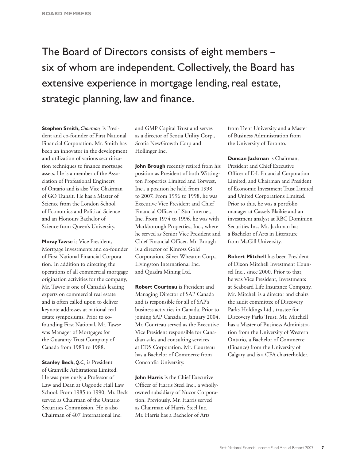The Board of Directors consists of eight members – six of whom are independent. Collectively, the Board has extensive experience in mortgage lending, real estate, strategic planning, law and finance.

**Stephen Smith,** *Chairman,* is President and co-founder of First National Financial Corporation. Mr. Smith has been an innovator in the development and utilization of various securitization techniques to finance mortgage assets. He is a member of the Association of Professional Engineers of Ontario and is also Vice Chairman of GO Transit. He has a Master of Science from the London School of Economics and Political Science and an Honours Bachelor of Science from Queen's University.

**Moray Tawse** is Vice President, Mortgage Investments and co-founder of First National Financial Corporation. In addition to directing the operations of all commercial mortgage origination activities for the company, Mr. Tawse is one of Canada's leading experts on commercial real estate and is often called upon to deliver keynote addresses at national real estate symposiums. Prior to cofounding First National, Mr. Tawse was Manager of Mortgages for the Guaranty Trust Company of Canada from 1983 to 1988.

**Stanley Beck,** *Q.C.,* is President of Granville Arbitrations Limited. He was previously a Professor of Law and Dean at Osgoode Hall Law School. From 1985 to 1990, Mr. Beck served as Chairman of the Ontario Securities Commission. He is also Chairman of 407 International Inc.

and GMP Capital Trust and serves as a director of Scotia Utility Corp., Scotia NewGrowth Corp and Hollinger Inc.

**John Brough** recently retired from his position as President of both Wittington Properties Limited and Torwest, Inc., a position he held from 1998 to 2007. From 1996 to 1998, he was Executive Vice President and Chief Financial Officer of iStar Internet, Inc. From 1974 to 1996, he was with Markborough Properties, Inc., where he served as Senior Vice President and Chief Financial Officer. Mr. Brough is a director of Kinross Gold Corporation, Silver Wheaton Corp., Livingston International Inc. and Quadra Mining Ltd.

**Robert Courteau** is President and Managing Director of SAP Canada and is responsible for all of SAP's business activities in Canada. Prior to joining SAP Canada in January 2004, Mr. Courteau served as the Executive Vice President responsible for Canadian sales and consulting services at EDS Corporation. Mr. Courteau has a Bachelor of Commerce from Concordia University.

**John Harris** is the Chief Executive Officer of Harris Steel Inc., a whollyowned subsidiary of Nucor Corporation. Previously, Mr. Harris served as Chairman of Harris Steel Inc. Mr. Harris has a Bachelor of Arts

from Trent University and a Master of Business Administration from the University of Toronto.

**Duncan Jackman** is Chairman, President and Chief Executive Officer of E-L Financial Corporation Limited, and Chairman and President of Economic Investment Trust Limited and United Corporations Limited. Prior to this, he was a portfolio manager at Cassels Blaikie and an investment analyst at RBC Dominion Securities Inc. Mr. Jackman has a Bachelor of Arts in Literature from McGill University.

**Robert Mitchell** has been President of Dixon Mitchell Investment Counsel Inc., since 2000. Prior to that, he was Vice President, Investments at Seaboard Life Insurance Company. Mr. Mitchell is a director and chairs the audit committee of Discovery Parks Holdings Ltd., trustee for Discovery Parks Trust. Mr. Mitchell has a Master of Business Administration from the University of Western Ontario, a Bachelor of Commerce (Finance) from the University of Calgary and is a CFA charterholder.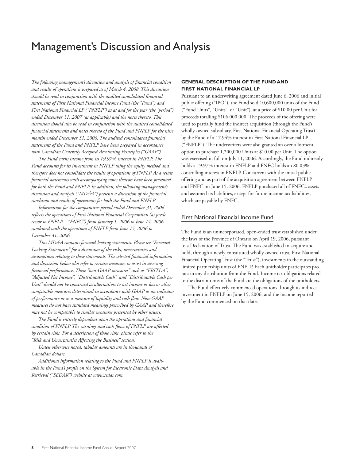# Management's Discussion and Analysis

*The following management's discussion and analysis of financial condition and results of operations is prepared as of March 4, 2008. This discussion should be read in conjunction with the audited consolidated financial statements of First National Financial Income Fund (the "Fund") and First National Financial LP ("FNFLP") as at and for the year (the "period") ended December 31, 2007 (as applicable) and the notes thereto. This discussion should also be read in conjunction with the audited consolidated financial statements and notes thereto of the Fund and FNFLP for the nine months ended December 31, 2006. The audited consolidated financial statements of the Fund and FNFLP have been prepared in accordance with Canadian Generally Accepted Accounting Principles ("GAAP").*

*The Fund earns income from its 19.97% interest in FNFLP. The Fund accounts for its investment in FNFLP using the equity method and therefore does not consolidate the results of operations of FNFLP. As a result, financial statements with accompanying notes thereon have been presented for both the Fund and FNFLP. In addition, the following management's discussion and analysis ("MD&A") presents a discussion of the financial condition and results of operations for both the Fund and FNFLP.*

*Information for the comparative period ended December 31, 2006 reflects the operations of First National Financial Corporation (as predecessor to FNFLP – "FNFC") from January 1, 2006 to June 14, 2006 combined with the operations of FNFLP from June 15, 2006 to December 31, 2006.*

*This MD&A contains forward-looking statements. Please see "Forward-Looking Statements" for a discussion of the risks, uncertainties and assumptions relating to these statements. The selected financial information and discussion below also refer to certain measures to assist in assessing financial performance. These "non-GAAP measures" such as "EBITDA", "Adjusted Net Income", "Distributable Cash", and "Distributable Cash per Unit" should not be construed as alternatives to net income or loss or other comparable measures determined in accordance with GAAP as an indicator of performance or as a measure of liquidity and cash flow. Non-GAAP measures do not have standard meanings prescribed by GAAP and therefore may not be comparable to similar measures presented by other issuers.*

*The Fund is entirely dependent upon the operations and financial condition of FNFLP. The earnings and cash flows of FNFLP are affected by certain risks. For a description of those risks, please refer to the "Risk and Uncertainties Affecting the Business" section.*

*Unless otherwise noted, tabular amounts are in thousands of Canadian dollars.*

*Additional information relating to the Fund and FNFLP is available in the Fund's profile on the System for Electronic Data Analysis and Retrieval ("SEDAR") website at www.sedar.com.*

## **GENERAL DESCRIPTION OF THE FUND AND FIRST NATIONAL FINANCIAL LP**

Pursuant to an underwriting agreement dated June 6, 2006 and initial public offering ("IPO"), the Fund sold 10,600,000 units of the Fund ("Fund Units", "Units", or "Unit"), at a price of \$10.00 per Unit for proceeds totalling \$106,000,000. The proceeds of the offering were used to partially fund the indirect acquisition (through the Fund's wholly-owned subsidiary, First National Financial Operating Trust) by the Fund of a 17.94% interest in First National Financial LP ("FNFLP"). The underwriters were also granted an over-allotment option to purchase 1,200,000 Units at \$10.00 per Unit. The option was exercised in full on July 11, 2006. Accordingly, the Fund indirectly holds a 19.97% interest in FNFLP and FNFC holds an 80.03% controlling interest in FNFLP. Concurrent with the initial public offering and as part of the acquisition agreement between FNFLP and FNFC on June 15, 2006, FNFLP purchased all of FNFC's assets and assumed its liabilities, except for future income tax liabilities, which are payable by FNFC.

## First National Financial Income Fund

The Fund is an unincorporated, open-ended trust established under the laws of the Province of Ontario on April 19, 2006, pursuant to a Declaration of Trust. The Fund was established to acquire and hold, through a newly constituted wholly-owned trust, First National Financial Operating Trust (the "Trust"), investments in the outstanding limited partnership units of FNFLP. Each unitholder participates pro rata in any distribution from the Fund. Income tax obligations related to the distributions of the Fund are the obligations of the unitholders.

The Fund effectively commenced operations through its indirect investment in FNFLP on June 15, 2006, and the income reported by the Fund commenced on that date.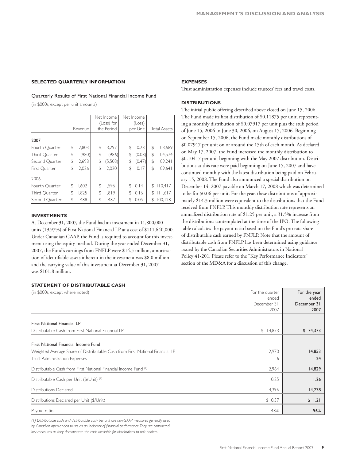#### **Selected Quarterly Information**

#### Quarterly Results of First National Financial Income Fund

(in \$000s, except per unit amounts)

|                |             | Net Income<br>(Loss) for | Net Income<br>(Loss) |     |                     |
|----------------|-------------|--------------------------|----------------------|-----|---------------------|
|                | Revenue     | the Period               | per Unit             |     | <b>Total Assets</b> |
| 2007           |             |                          |                      |     |                     |
| Fourth Quarter | \$<br>2,803 | \$<br>3,297              | \$<br>0.28           | \$  | 103,689             |
| Third Quarter  | \$<br>(980) | \$<br>(986)              | \$<br>(0.08)         | \$  | 104,574             |
| Second Quarter | \$<br>2,698 | \$<br>(5,508)            | \$<br>(0.47)         | \$  | 109,241             |
| First Quarter  | \$<br>2,026 | \$<br>2,020              | \$<br>0.17           | \$  | 109,641             |
| 2006           |             |                          |                      |     |                     |
| Fourth Quarter | \$<br>1,602 | \$<br>1,596              | \$<br>0.14           | \$  | 110,417             |
| Third Quarter  | \$<br>1.825 | \$<br>1,819              | \$<br>0.16           | \$. | $ $   $ $ .6  7     |
| Second Quarter | \$<br>488   | \$<br>487                | \$<br>0.05           | \$  | 100.128             |

#### **Investments**

At December 31, 2007, the Fund had an investment in 11,800,000 units (19.97%) of First National Financial LP at a cost of \$111,640,000. Under Canadian GAAP, the Fund is required to account for this investment using the equity method. During the year ended December 31, 2007, the Fund's earnings from FNFLP were \$14.5 million, amortization of identifiable assets inherent in the investment was \$8.0 million and the carrying value of this investment at December 31, 2007 was \$101.8 million.

#### **Statement of Distributable Cash**

#### **Expenses**

Trust administration expenses include trustees' fees and travel costs.

## **Distributions**

The initial public offering described above closed on June 15, 2006. The Fund made its first distribution of \$0.11875 per unit, representing a monthly distribution of \$0.07917 per unit plus the stub period of June 15, 2006 to June 30, 2006, on August 15, 2006. Beginning on September 15, 2006, the Fund made monthly distributions of \$0.07917 per unit on or around the 15th of each month. As declared on May 17, 2007, the Fund increased the monthly distribution to \$0.10417 per unit beginning with the May 2007 distribution. Distributions at this rate were paid beginning on June 15, 2007 and have continued monthly with the latest distribution being paid on February 15, 2008. The Fund also announced a special distribution on December 14, 2007 payable on March 17, 2008 which was determined to be for \$0.06 per unit. For the year, these distributions of approximately \$14.3 million were equivalent to the distributions that the Fund received from FNFLP. This monthly distribution rate represents an annualized distribution rate of \$1.25 per unit, a 31.5% increase from the distributions contemplated at the time of the IPO. The following table calculates the payout ratio based on the Fund's pro rata share of distributable cash earned by FNFLP. Note that the amount of distributable cash from FNFLP has been determined using guidance issued by the Canadian Securities Administrators in National Policy 41-201. Please refer to the "Key Performance Indicators" section of the MD&A for a discussion of this change.

| (in \$000s, except where noted)                                               | For the quarter | For the year |  |  |
|-------------------------------------------------------------------------------|-----------------|--------------|--|--|
|                                                                               | ended           | ended        |  |  |
|                                                                               | December 31     | December 31  |  |  |
|                                                                               | 2007            | 2007         |  |  |
|                                                                               |                 |              |  |  |
| First National Financial LP                                                   |                 |              |  |  |
| Distributable Cash from First National Financial LP                           | \$14,873        | \$74,373     |  |  |
|                                                                               |                 |              |  |  |
| First National Financial Income Fund                                          |                 |              |  |  |
| Weighted Average Share of Distributable Cash from First National Financial LP | 2,970           | 14,853       |  |  |
| Trust Administration Expenses                                                 | 6               | 24           |  |  |
| Distributable Cash from First National Financial Income Fund (1)              | 2,964           | 14,829       |  |  |
| Distributable Cash per Unit (\$/Unit) (1)                                     | 0.25            | 1.26         |  |  |
| Distributions Declared                                                        | 4,396           | 14,278       |  |  |
| Distributions Declared per Unit (\$/Unit)                                     | \$0.37          | \$1.21       |  |  |
| Payout ratio                                                                  | 148%            | 96%          |  |  |

*(1) Distributable cash and distributable cash per unit are non-GAAP measures generally used* 

*by Canadian open-ended trusts as an indicator of financial performance. They are considered* 

*key measures as they demonstrate the cash available for distributions to unit holders.*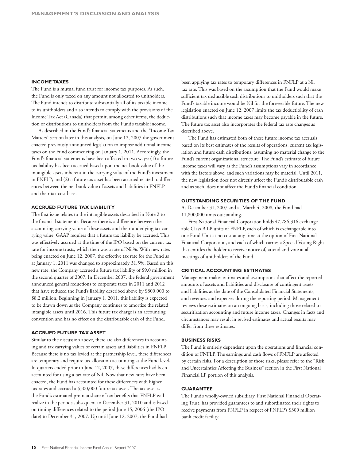## **Income Taxes**

The Fund is a mutual fund trust for income tax purposes. As such, the Fund is only taxed on any amount not allocated to unitholders. The Fund intends to distribute substantially all of its taxable income to its unitholders and also intends to comply with the provisions of the Income Tax Act (Canada) that permit, among other items, the deduction of distributions to unitholders from the Fund's taxable income.

As described in the Fund's financial statements and the "Income Tax Matters" section later in this analysis, on June 12, 2007 the government enacted previously announced legislation to impose additional income taxes on the Fund commencing on January 1, 2011. Accordingly, the Fund's financial statements have been affected in two ways: (1) a future tax liability has been accrued based upon the net book value of the intangible assets inherent in the carrying value of the Fund's investment in FNFLP; and (2) a future tax asset has been accrued related to differences between the net book value of assets and liabilities in FNFLP and their tax cost base.

## **Accrued Future Tax Liability**

The first issue relates to the intangible assets described in Note 2 to the financial statements. Because there is a difference between the accounting carrying value of these assets and their underlying tax carrying value, GAAP requires that a future tax liability be accrued. This was effectively accrued at the time of the IPO based on the current tax rate for income trusts, which then was a rate of Nil%. With new rates being enacted on June 12, 2007, the effective tax rate for the Fund as at January 1, 2011 was changed to approximately 31.5%. Based on this new rate, the Company accrued a future tax liability of \$9.0 million in the second quarter of 2007. In December 2007, the federal government announced general reductions to corporate taxes in 2011 and 2012 that have reduced the Fund's liability described above by \$800,000 to \$8.2 million. Beginning in January 1, 2011, this liability is expected to be drawn down as the Company continues to amortize the related intangible assets until 2016. This future tax charge is an accounting convention and has no effect on the distributable cash of the Fund.

### **Accrued Future Tax Asset**

Similar to the discussion above, there are also differences in accounting and tax carrying values of certain assets and liabilities in FNFLP. Because there is no tax levied at the partnership level, these differences are temporary and require tax allocation accounting at the Fund level. In quarters ended prior to June 12, 2007, these differences had been accounted for using a tax rate of Nil. Now that new rates have been enacted, the Fund has accounted for these differences with higher tax rates and accrued a \$500,000 future tax asset. The tax asset is the Fund's estimated pro rata share of tax benefits that FNFLP will realize in the periods subsequent to December 31, 2010 and is based on timing differences related to the period June 15, 2006 (the IPO date) to December 31, 2007. Up until June 12, 2007, the Fund had

been applying tax rates to temporary differences in FNFLP at a Nil tax rate. This was based on the assumption that the Fund would make sufficient tax deductible cash distributions to unitholders such that the Fund's taxable income would be Nil for the foreseeable future. The new legislation enacted on June 12, 2007 limits the tax deductibility of cash distributions such that income taxes may become payable in the future. The future tax asset also incorporates the federal tax rate changes as described above.

The Fund has estimated both of these future income tax accruals based on its best estimates of the results of operations, current tax legislation and future cash distributions, assuming no material change to the Fund's current organizational structure. The Fund's estimate of future income taxes will vary as the Fund's assumptions vary in accordance with the factors above, and such variations may be material. Until 2011, the new legislation does not directly affect the Fund's distributable cash and as such, does not affect the Fund's financial condition.

## **Outstanding Securities of the Fund**

At December 31, 2007 and at March 4, 2008, the Fund had 11,800,000 units outstanding.

First National Financial Corporation holds 47,286,316 exchangeable Class B LP units of FNFLP, each of which is exchangeable into one Fund Unit at no cost at any time at the option of First National Financial Corporation, and each of which carries a Special Voting Right that entitles the holder to receive notice of, attend and vote at all meetings of unitholders of the Fund.

## **Critical Accounting Estimates**

Management makes estimates and assumptions that affect the reported amounts of assets and liabilities and disclosure of contingent assets and liabilities at the date of the Consolidated Financial Statements, and revenues and expenses during the reporting period. Management reviews these estimates on an ongoing basis, including those related to securitization accounting and future income taxes. Changes in facts and circumstances may result in revised estimates and actual results may differ from these estimates.

#### **Business Risks**

The Fund is entirely dependent upon the operations and financial condition of FNFLP. The earnings and cash flows of FNFLP are affected by certain risks. For a description of those risks, please refer to the "Risk and Uncertainties Affecting the Business" section in the First National Financial LP portion of this analysis.

#### **Guarantee**

The Fund's wholly-owned subsidiary, First National Financial Operating Trust, has provided guarantees to and subordinated their rights to receive payments from FNFLP in respect of FNFLP's \$300 million bank credit facility.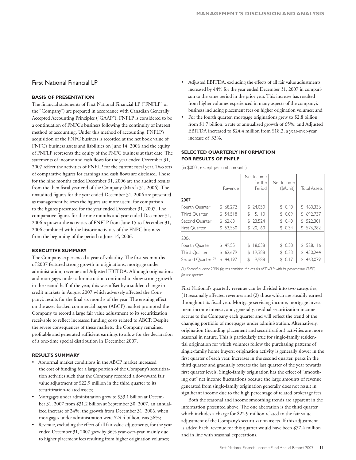## First National Financial LP

### **Basis of Presentation**

The financial statements of First National Financial LP ("FNFLP" or the "Company") are prepared in accordance with Canadian Generally Accepted Accounting Principles ("GAAP"). FNFLP is considered to be a continuation of FNFC's business following the continuity of interest method of accounting. Under this method of accounting, FNFLP's acquisition of the FNFC business is recorded at the net book value of FNFC's business assets and liabilities on June 14, 2006 and the equity of FNFLP represents the equity of the FNFC business at that date. The statements of income and cash flows for the year ended December 31, 2007 reflect the activities of FNFLP for the current fiscal year. Two sets of comparative figures for earnings and cash flows are disclosed. Those for the nine months ended December 31, 2006 are the audited results from the then fiscal year end of the Company (March 31, 2006). The unaudited figures for the year ended December 31, 2006 are presented as management believes the figures are more useful for comparison to the figures presented for the year ended December 31, 2007. The comparative figures for the nine months and year ended December 31, 2006 represent the activities of FNFLP from June 15 to December 31, 2006 combined with the historic activities of the FNFC business from the beginning of the period to June 14, 2006.

#### **Executive Summary**

The Company experienced a year of volatility. The first six months of 2007 featured strong growth in originations, mortgage under administration, revenue and Adjusted EBITDA. Although originations and mortgages under administration continued to show strong growth in the second half of the year, this was offset by a sudden change in credit markets in August 2007 which adversely affected the Company's results for the final six months of the year. The ensuing effect on the asset-backed commercial paper (ABCP) market prompted the Company to record a large fair value adjustment to its securitization receivable to reflect increased funding costs related to ABCP. Despite the severe consequences of these markets, the Company remained profitable and generated sufficient earnings to allow for the declaration of a one-time special distribution in December 2007.

## **Results Summary**

- • Abnormal market conditions in the ABCP market increased the cost of funding for a large portion of the Company's securitization activities such that the Company recorded a downward fair value adjustment of \$22.9 million in the third quarter to its securitization-related assets;
- Mortgages under administration grew to \$33.1 billion at December 31, 2007 from \$31.2 billion at September 30, 2007, an annualized increase of 24%; the growth from December 31, 2006, when mortgages under administration were \$24.4 billion, was 36%;
- Revenue, excluding the effect of all fair value adjustments, for the year ended December 31, 2007 grew by 36% year-over-year, mainly due to higher placement fees resulting from higher origination volumes;
- • Adjusted EBITDA, excluding the effects of all fair value adjustments, increased by 44% for the year ended December 31, 2007 in comparison to the same period in the prior year. This increase has resulted from higher volumes experienced in many aspects of the company's business including placement fees on higher origination volumes; and
- For the fourth quarter, mortgage originations grew to \$2.8 billion from \$1.7 billion, a rate of annualized growth of 65%; and Adjusted EBITDA increased to \$24.4 million from \$18.3, a year-over-year increase of 33%.

## **Selected Quarterly Information for Results of FNFLP**

(in \$000s, except per unit amounts)

|                               |               | Net Income   |             |                     |
|-------------------------------|---------------|--------------|-------------|---------------------|
|                               |               | for the      | Net Income  |                     |
|                               | Revenue       | Period       | $(S/U$ nit) | <b>Total Assets</b> |
| 2007                          |               |              |             |                     |
| Fourth Quarter                | \$68,272      | \$ 24,050    | \$0.40      | \$460,336           |
| Third Quarter                 | \$54,518      | 5.110<br>\$. | \$0.09      | 692,737<br>\$       |
| Second Quarter                | \$62.631      | \$23.524     | \$0.40      | \$522.301           |
| First Quarter                 | \$53,550      | \$20,160     | \$0.34      | \$576,282           |
| 2006                          |               |              |             |                     |
| Fourth Quarter                | \$49,551      | 18,038<br>\$ | \$0.30      | \$528,116           |
| Third Quarter                 | 62.679<br>\$. | 19.388<br>\$ | \$0.33      | 450,244<br>\$       |
| Second Quarter <sup>(1)</sup> | 44.197<br>\$  | 9.988<br>\$  | 0.17<br>\$. | 463,079<br>\$       |

*(1) Second quarter 2006 figures combine the results of FNFLP with its predecessor, FNFC, for the quarter.*

First National's quarterly revenue can be divided into two categories, (1) seasonally affected revenues and (2) those which are steadily earned throughout its fiscal year. Mortgage servicing income, mortgage investment income interest, and, generally, residual securitization income accrue to the Company each quarter and will reflect the trend of the changing portfolio of mortgages under administration. Alternatively, origination (including placement and securitization) activities are more seasonal in nature. This is particularly true for single-family residential origination for which volumes follow the purchasing patterns of single-family home buyers; origination activity is generally slower in the first quarter of each year, increases in the second quarter, peaks in the third quarter and gradually retreats the last quarter of the year towards first quarter levels. Single-family origination has the effect of "smoothing out" net income fluctuations because the large amounts of revenue generated from single-family origination generally does not result in significant income due to the high percentage of related brokerage fees.

Both the seasonal and income smoothing trends are apparent in the information presented above. The one aberration is the third quarter which includes a charge for \$22.9 million related to the fair value adjustment of the Company's securitization assets. If this adjustment is added back, revenue for this quarter would have been \$77.4 million and in line with seasonal expectations.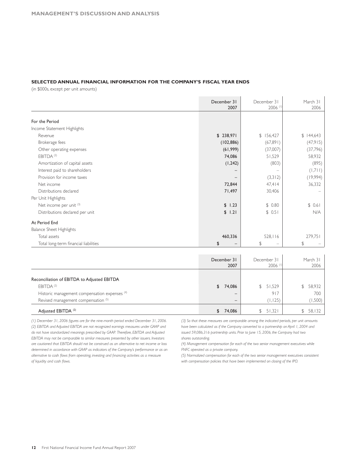#### **Selected Annual Financial Information for the Company's fiscal year ends**

(in \$000s, except per unit amounts)

|                                       | December 31<br>2007                  | December 31<br>2006 | March 31<br>2006          |
|---------------------------------------|--------------------------------------|---------------------|---------------------------|
| For the Period                        |                                      |                     |                           |
| Income Statement Highlights           |                                      |                     |                           |
| Revenue                               | \$238,971                            | \$156,427           | $\mathfrak{L}$<br>144,643 |
| Brokerage fees                        | (102, 886)                           | (67, 891)           | (47,915)                  |
| Other operating expenses              | (61,999)                             | (37,007)            | (37, 796)                 |
| EBITDA <sup>(2)</sup>                 | 74,086                               | 51,529              | 58,932                    |
| Amortization of capital assets        | (1, 242)                             | (803)               | (895)                     |
| Interest paid to shareholders         |                                      |                     | (1,711)                   |
| Provision for income taxes            |                                      | (3,312)             | (19,994)                  |
| Net income                            | 72,844                               | 47,414              | 36,332                    |
| Distributions declared                | 71,497                               | 30,406              |                           |
| Per Unit Highlights                   |                                      |                     |                           |
| Net income per unit (3)               | \$1.23                               | \$0.80              | \$0.61                    |
| Distributions declared per unit       | \$1.21                               | \$0.51              | N/A                       |
| At Period End                         |                                      |                     |                           |
| Balance Sheet Highlights              |                                      |                     |                           |
| Total assets                          | 460,336                              | 528,116             | 279,751                   |
| Total long-term financial liabilities | S<br>$\hspace{0.1mm}-\hspace{0.1mm}$ | \$                  | \$                        |

|                                                | December 31<br>2007      | December 31<br>2006 (1) | March 31<br>2006 |
|------------------------------------------------|--------------------------|-------------------------|------------------|
| Reconciliation of EBITDA to Adjusted EBITDA    |                          |                         |                  |
| FBITDA <sup>(2)</sup>                          | \$74,086                 | 51,529                  | 58,932<br>Ж.     |
| Historic management compensation expenses (4)  |                          | 917                     | 700              |
| Revised management compensation <sup>(5)</sup> | $\overline{\phantom{0}}$ | (1, 125)                | (1,500)          |
| Adjusted EBITDA <sup>(2)</sup>                 | 74,086                   | 51,321                  | 58,132           |

*(1) December 31, 2006 figures are for the nine-month period ended December 31, 2006. (2) EBITDA and Adjusted EBITDA are not recognized earnings measures under GAAP and do not have standardized meanings prescribed by GAAP. Therefore, EBITDA and Adjusted EBITDA may not be comparable to similar measures presented by other issuers. Investors are cautioned that EBITDA should not be construed as an alternative to net income or loss determined in accordance with GAAP as indicators of the Company's performance or as an alternative to cash flows from operating, investing and financing activities as a measure of liquidity and cash flows.* 

*(3) So that these measures are comparable among the indicated periods, per unit amounts have been calculated as if the Company converted to a partnership on April 1, 2004 and issued 59,086,316 partnership units. Prior to June 15, 2006, the Company had two shares outstanding.*

*(4) Management compensation for each of the two senior management executives while FNFC operated as a private company.*

*(5) Normalized compensation for each of the two senior management executives consistent with compensation policies that have been implemented on closing of the IPO.*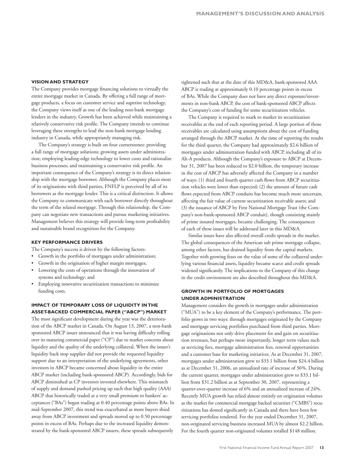#### **Vision and Strategy**

The Company provides mortgage financing solutions to virtually the entire mortgage market in Canada. By offering a full range of mortgage products, a focus on customer service and superior technology, the Company views itself as one of the leading non-bank mortgage lenders in the industry. Growth has been achieved while maintaining a relatively conservative risk profile. The Company intends to continue leveraging these strengths to lead the non-bank mortgage lending industry in Canada, while appropriately managing risk.

The Company's strategy is built on four cornerstones: providing a full range of mortgage solutions; growing assets under administration; employing leading-edge technology to lower costs and rationalize business processes; and maintaining a conservative risk profile. An important consequence of the Company's strategy is its direct relationship with the mortgage borrower. Although the Company places most of its originations with third parties, FNFLP is perceived by all of its borrowers as the mortgage lender. This is a critical distinction. It allows the Company to communicate with each borrower directly throughout the term of the related mortgage. Through this relationship, the Company can negotiate new transactions and pursue marketing initiatives. Management believes this strategy will provide long-term profitability and sustainable brand recognition for the Company.

#### **Key Performance Drivers**

The Company's success is driven by the following factors:

- Growth in the portfolio of mortgages under administration;
- Growth in the origination of higher margin mortgages;
- Lowering the costs of operations through the innovation of systems and technology; and
- • Employing innovative securitization transactions to minimize funding costs.

## **Impact of temporary loss of liquidity in the Asset-Backed Commercial Paper ("ABCP") market**

The most significant development during the year was the deterioration of the ABCP market in Canada. On August 13, 2007, a non-bank sponsored ABCP issuer announced that it was having difficulty rolling over its maturing commercial paper ("CP") due to market concerns about liquidity and the quality of the underlying collateral. When the issuer's liquidity back stop supplier did not provide the requested liquidity support due to an interpretation of the underlying agreements, other investors in ABCP became concerned about liquidity in the entire ABCP market (including bank-sponsored ABCP). Accordingly, bids for ABCP diminished as CP investors invested elsewhere. This mismatch of supply and demand pushed pricing up such that high quality (AAA) ABCP that historically traded at a very small premium to bankers' acceptances ("BAs") began trading at 0.40 percentage points above BAs. In mid-September 2007, this trend was exacerbated as more buyers shied away from ABCP investment and spreads moved up to 0.50 percentage points in excess of BAs. Perhaps due to the increased liquidity demonstrated by the bank-sponsored ABCP issuers, these spreads subsequently

tightened such that at the date of this MD&A, bank-sponsored AAA ABCP is trading at approximately 0.10 percentage points in excess of BAs. While the Company does not have any direct exposure/investments in non-bank ABCP, the cost of bank-sponsored ABCP affects the Company's cost of funding for some securitization vehicles.

The Company is required to mark to market its securitization receivables at the end of each reporting period. A large portion of those receivables are calculated using assumptions about the cost of funding arranged through the ABCP market. At the time of reporting the results for the third quarter, the Company had approximately \$2.6 billion of mortgages under administration funded with ABCP, including all of its Alt-A products. Although the Company's exposure to ABCP at December 31, 2007 has been reduced to \$2.0 billion, the temporary increase in the cost of ABCP has adversely affected the Company in a number of ways: (1) third and fourth quarter cash flows from ABCP securitization vehicles were lower than expected; (2) the amount of future cash flows expected from ABCP conduits has become much more uncertain, affecting the fair value of current securitization receivable assets; and (3) the issuance of ABCP by First National Mortgage Trust (the Company's non-bank-sponsored ABCP conduit), though consisting mainly of prime insured mortgages, became challenging. The consequences of each of these issues will be addressed later in this MD&A.

Similar issues have also affected overall credit spreads in the market. The global consequences of the American sub prime mortgage collapse, among other factors, has drained liquidity from the capital markets. Together with growing fears on the value of some of the collateral underlying various financial assets, liquidity became scarce and credit spreads widened significantly. The implications to the Company of this change in the credit environment are also described throughout this MD&A.

## **Growth in Portfolio of Mortgages under Administration**

Management considers the growth in mortgages under administration ("MUA") to be a key element of the Company's performance. The portfolio grows in two ways: through mortgages originated by the Company and mortgage servicing portfolios purchased from third parties. Mortgage originations not only drive placement fee and gain on securitization revenues, but perhaps more importantly, longer term values such as servicing fees, mortgage administration fees, renewal opportunities and a customer base for marketing initiatives. As at December 31, 2007, mortgages under administration grew to \$33.1 billion from \$24.4 billion as at December 31, 2006, an annualized rate of increase of 36%. During the current quarter, mortgages under administration grew to \$33.1 billion from \$31.2 billion as at September 30, 2007, representing a quarter-over-quarter increase of 6% and an annualized increase of 24%. Recently MUA growth has relied almost entirely on origination volumes as the market for commercial mortgage backed securities ("CMBS") securitizations has slowed significantly in Canada and there have been few servicing portfolios tendered. For the year ended December 31, 2007, non-originated servicing business increased MUA by almost \$2.2 billion. For the fourth quarter non-originated volumes totalled \$148 million.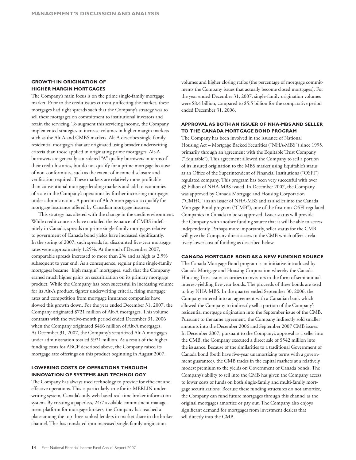## **Growth in Origination of Higher Margin Mortgages**

The Company's main focus is on the prime single-family mortgage market. Prior to the credit issues currently affecting the market, these mortgages had tight spreads such that the Company's strategy was to sell these mortgages on commitment to institutional investors and retain the servicing. To augment this servicing income, the Company implemented strategies to increase volumes in higher margin markets such as the Alt-A and CMBS markets. Alt-A describes single-family residential mortgages that are originated using broader underwriting criteria than those applied in originating prime mortgages. Alt-A borrowers are generally considered "A" quality borrowers in terms of their credit histories, but do not qualify for a prime mortgage because of non-conformities, such as the extent of income disclosure and verification required. These markets are relatively more profitable than conventional mortgage lending markets and add to economies of scale in the Company's operations by further increasing mortgages under administration. A portion of Alt-A mortgages also qualify for mortgage insurance offered by Canadian mortgage insurers.

This strategy has altered with the change in the credit environment. While credit concerns have curtailed the issuance of CMBS indefinitely in Canada, spreads on prime single-family mortgages relative to government of Canada bond yields have increased significantly. In the spring of 2007, such spreads for discounted five-year mortgage rates were approximately 1.25%. At the end of December 2007, comparable spreads increased to more than 2% and as high as 2.5% subsequent to year end. As a consequence, regular prime single-family mortgages became "high margin" mortgages, such that the Company earned much higher gains on securitization on its primary mortgage product. While the Company has been successful in increasing volume for its Alt-A product, tighter underwriting criteria, rising mortgage rates and competition from mortgage insurance companies have slowed this growth down. For the year ended December 31, 2007, the Company originated \$721 million of Alt-A mortgages. This volume contrasts with the twelve-month period ended December 31, 2006 when the Company originated \$466 million of Alt-A mortgages. At December 31, 2007, the Company's securitized Alt-A mortgages under administration totaled \$921 million. As a result of the higher funding costs for ABCP described above, the Company raised its mortgage rate offerings on this product beginning in August 2007.

## **Lowering Costs of Operations through Innovation of Systems and Technology**

The Company has always used technology to provide for efficient and effective operations. This is particularly true for its MERLIN underwriting system, Canada's only web-based real-time broker information system. By creating a paperless, 24/7 available commitment management platform for mortgage brokers, the Company has reached a place among the top three ranked lenders in market share in the broker channel. This has translated into increased single-family origination

volumes and higher closing ratios (the percentage of mortgage commitments the Company issues that actually become closed mortgages). For the year ended December 31, 2007, single-family origination volumes were \$8.4 billion, compared to \$5.5 billion for the comparative period ended December 31, 2006.

## **Approval as both an issuer of NHA-MBS and Seller to the Canada Mortgage Bond PROGRAM**

The Company has been involved in the issuance of National Housing Act – Mortgage Backed Securities ("NHA-MBS") since 1995, primarily through an agreement with the Equitable Trust Company ("Equitable"). This agreement allowed the Company to sell a portion of its insured origination to the MBS market using Equitable's status as an Office of the Superintendent of Financial Institutions ("OSFI") regulated company. This program has been very successful with over \$3 billion of NHA-MBS issued. In December 2007, the Company was approved by Canada Mortgage and Housing Corporation ("CMHC") as an issuer of NHA-MBS and as a seller into the Canada Mortgage Bond program ("CMB"), one of the first non-OSFI regulated Companies in Canada to be so approved. Issuer status will provide the Company with another funding source that it will be able to access independently. Perhaps more importantly, seller status for the CMB will give the Company direct access to the CMB which offers a relatively lower cost of funding as described below.

## **Canada Mortgage Bond as a New Funding Source**

The Canada Mortgage Bond program is an initiative introduced by Canada Mortgage and Housing Corporation whereby the Canada Housing Trust issues securities to investors in the form of semi-annual interest-yielding five-year bonds. The proceeds of these bonds are used to buy NHA-MBS. In the quarter ended September 30, 2006, the Company entered into an agreement with a Canadian bank which allowed the Company to indirectly sell a portion of the Company's residential mortgage origination into the September issue of the CMB. Pursuant to the same agreement, the Company indirectly sold smaller amounts into the December 2006 and September 2007 CMB issues. In December 2007, pursuant to the Company's approval as a seller into the CMB, the Company executed a direct sale of \$542 million into the issuance. Because of the similarities to a traditional Government of Canada bond (both have five-year unamortizing terms with a government guarantee), the CMB trades in the capital markets at a relatively modest premium to the yields on Government of Canada bonds. The Company's ability to sell into the CMB has given the Company access to lower costs of funds on both single-family and multi-family mortgage securitizations. Because these funding structures do not amortize, the Company can fund future mortgages through this channel as the original mortgages amortize or pay out. The Company also enjoys significant demand for mortgages from investment dealers that sell directly into the CMB.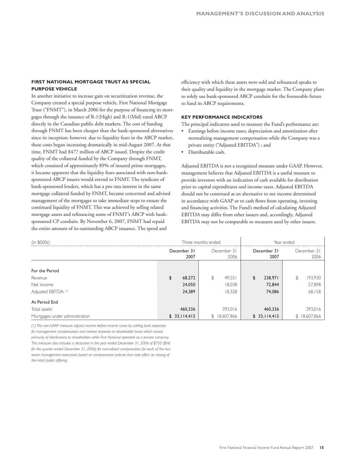## **First National Mortgage Trust as Special Purpose Vehicle**

In another initiative to increase gain on securitization revenue, the Company created a special purpose vehicle, First National Mortgage Trust ("FNMT"), in March 2006 for the purpose of financing its mortgages through the issuance of R-1(High) and R-1(Mid) rated ABCP directly in the Canadian public debt markets. The cost of funding through FNMT has been cheaper than the bank-sponsored alternatives since its inception; however, due to liquidity fears in the ABCP market, these costs began increasing dramatically in mid-August 2007. At that time, FNMT had \$477 million of ABCP issued. Despite the credit quality of the collateral funded by the Company through FNMT, which consisted of approximately 89% of insured prime mortgages, it became apparent that the liquidity fears associated with non-banksponsored ABCP issuers would extend to FNMT. The syndicate of bank-sponsored lenders, which has a pro rata interest in the same mortgage collateral funded by FNMT, became concerned and advised management of the mortgages to take immediate steps to ensure the continued liquidity of FNMT. This was achieved by selling related mortgage assets and refinancing some of FNMT's ABCP with banksponsored CP conduits. By November 6, 2007, FNMT had repaid the entire amount of its outstanding ABCP issuance. The speed and

efficiency with which these assets were sold and refinanced speaks to their quality and liquidity in the mortgage market. The Company plans to solely use bank-sponsored ABCP conduits for the foreseeable future to fund its ABCP requirements.

## **Key Performance Indicators**

The principal indicators used to measure the Fund's performance are:

- • Earnings before income taxes, depreciation and amortization after normalizing management compensation while the Company was a private entity ("Adjusted EBITDA") ; and
- Distributable cash.

Adjusted EBITDA is not a recognized measure under GAAP. However, management believes that Adjusted EBITDA is a useful measure to provide investors with an indication of cash available for distribution prior to capital expenditures and income taxes. Adjusted EBITDA should not be construed as an alternative to net income determined in accordance with GAAP or to cash flows from operating, investing and financing activities. The Fund's method of calculating Adjusted EBITDA may differ from other issuers and, accordingly, Adjusted EBITDA may not be comparable to measures used by other issuers.

| (in \$000s)                                                     |                         | Three months ended   | Year ended              |                       |  |
|-----------------------------------------------------------------|-------------------------|----------------------|-------------------------|-----------------------|--|
|                                                                 | December 31             | December 31          | December 31             | December 31           |  |
|                                                                 | 2007                    | 2006                 | 2007                    | 2006                  |  |
| For the Period                                                  | 68,272                  | 49.551               | 238,971                 | 193,930               |  |
| Revenue                                                         | \$                      | \$                   | S                       | \$                    |  |
| Net income                                                      | 24,050                  | 18,038               | 72,844                  | 57,898                |  |
| Adjusted EBITDA <sup>(1)</sup>                                  | 24,389                  | 18,328               | 74,086                  | 68,158                |  |
| At Period End<br>Total assets<br>Mortgages under administration | 460,336<br>\$33,114,415 | 393,016<br>8.607.866 | 460,336<br>\$33,114,415 | 393,016<br>18.607.866 |  |

*(1) This non-GAAP measure adjusts income before income taxes by adding back expenses for management compensation and interest expense on shareholder loans which consist* 

*primarily of distributions to shareholders while First National operated as a private company. This measure also includes a deduction in the year ended December 31, 2006 of \$750 (\$Nil for the quarter ended December 31, 2006) for normalized compensation for each of the two senior management executives based on compensation policies that took effect on closing of the initial public offering.*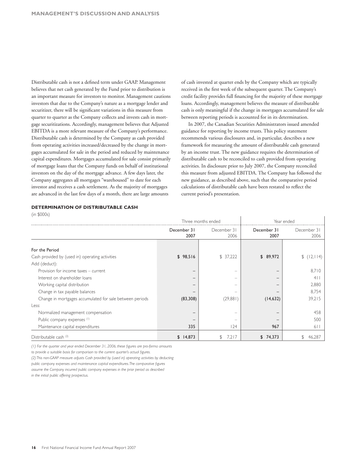Distributable cash is not a defined term under GAAP. Management believes that net cash generated by the Fund prior to distribution is an important measure for investors to monitor. Management cautions investors that due to the Company's nature as a mortgage lender and securitizer, there will be significant variations in this measure from quarter to quarter as the Company collects and invests cash in mortgage securitizations. Accordingly, management believes that Adjusted EBITDA is a more relevant measure of the Company's performance. Distributable cash is determined by the Company as cash provided from operating activities increased/decreased by the change in mortgages accumulated for sale in the period and reduced by maintenance capital expenditures. Mortgages accumulated for sale consist primarily of mortgage loans that the Company funds on behalf of institutional investors on the day of the mortgage advance. A few days later, the Company aggregates all mortgages "warehoused" to date for each investor and receives a cash settlement. As the majority of mortgages are advanced in the last few days of a month, there are large amounts

of cash invested at quarter ends by the Company which are typically received in the first week of the subsequent quarter. The Company's credit facility provides full financing for the majority of these mortgage loans. Accordingly, management believes the measure of distributable cash is only meaningful if the change in mortgages accumulated for sale between reporting periods is accounted for in its determination.

In 2007, the Canadian Securities Administrators issued amended guidance for reporting by income trusts. This policy statement recommends various disclosures and, in particular, describes a new framework for measuring the amount of distributable cash generated by an income trust. The new guidance requires the determination of distributable cash to be reconciled to cash provided from operating activities. In disclosure prior to July 2007, the Company reconciled this measure from adjusted EBITDA. The Company has followed the new guidance, as described above, such that the comparative period calculations of distributable cash have been restated to reflect the current period's presentation.

### **Determination of distributable cash**

(in \$000s)

|                                                          |                     | Three months ended  |                     | Year ended             |  |  |
|----------------------------------------------------------|---------------------|---------------------|---------------------|------------------------|--|--|
|                                                          | December 31<br>2007 | December 31<br>2006 | December 31<br>2007 | December 31<br>2006    |  |  |
| For the Period                                           |                     |                     |                     |                        |  |  |
| Cash provided by (used in) operating activities          | \$98,516            | \$37,222            | \$89,972            | $\frac{1}{2}$ (12,114) |  |  |
| Add (deduct):                                            |                     |                     |                     |                        |  |  |
| Provision for income taxes - current                     |                     |                     |                     | 8,710                  |  |  |
| Interest on shareholder loans                            |                     |                     |                     | 4                      |  |  |
| Working capital distribution                             |                     |                     |                     | 2,880                  |  |  |
| Change in tax payable balances                           |                     |                     |                     | 8,754                  |  |  |
| Change in mortgages accumulated for sale between periods | (83,308)            | (29, 881)           | (14, 632)           | 39,215                 |  |  |
| Less:                                                    |                     |                     |                     |                        |  |  |
| Normalized management compensation                       |                     |                     |                     | 458                    |  |  |
| Public company expenses <sup>(1)</sup>                   |                     |                     |                     | 500                    |  |  |
| Maintenance capital expenditures                         | 335                 | 124                 | 967                 | 6                      |  |  |
| Distributable cash (2)                                   | \$14,873            | 7,217<br>\$         | \$74,373            | 46,287<br>\$           |  |  |

*(1) For the quarter and year ended December 31, 2006, these figures are pro-forma amounts* 

*to provide a suitable basis for comparison to the current quarter's actual figures.*

*(2) This non-GAAP measure adjusts Cash provided by (used in) operating activities by deducting public company expenses and maintenance capital expenditures. The comparative figures assume the Company incurred public company expenses in the prior period as described in the initial public offering prospectus.*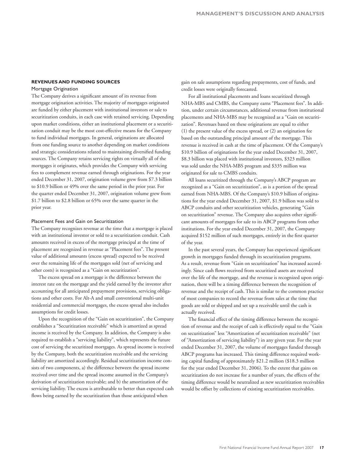## **Revenues and Funding Sources**

### Mortgage Origination

The Company derives a significant amount of its revenue from mortgage origination activities. The majority of mortgages originated are funded by either placement with institutional investors or sale to securitization conduits, in each case with retained servicing. Depending upon market conditions, either an institutional placement or a securitization conduit may be the most cost-effective means for the Company to fund individual mortgages. In general, originations are allocated from one funding source to another depending on market conditions and strategic considerations related to maintaining diversified funding sources. The Company retains servicing rights on virtually all of the mortgages it originates, which provides the Company with servicing fees to complement revenue earned through originations. For the year ended December 31, 2007, origination volume grew from \$7.3 billion to \$10.9 billion or 49% over the same period in the prior year. For the quarter ended December 31, 2007, origination volume grew from \$1.7 billion to \$2.8 billion or 65% over the same quarter in the prior year.

### Placement Fees and Gain on Securitization

The Company recognizes revenue at the time that a mortgage is placed with an institutional investor or sold to a securitization conduit. Cash amounts received in excess of the mortgage principal at the time of placement are recognized in revenue as "Placement fees". The present value of additional amounts (excess spread) expected to be received over the remaining life of the mortgages sold (net of servicing and other costs) is recognized as a "Gain on securitization".

The excess spread on a mortgage is the difference between the interest rate on the mortgage and the yield earned by the investor after accounting for all anticipated prepayment provisions, servicing obligations and other costs. For Alt-A and small conventional multi-unit residential and commercial mortgages, the excess spread also includes assumptions for credit losses.

Upon the recognition of the "Gain on securitization", the Company establishes a "Securitization receivable" which is amortized as spread income is received by the Company. In addition, the Company is also required to establish a "servicing liability", which represents the future cost of servicing the securitized mortgages. As spread income is received by the Company, both the securitization receivable and the servicing liability are amortized accordingly. Residual securitization income consists of two components, a) the difference between the spread income received over time and the spread income assumed in the Company's derivation of securitization receivable; and b) the amortization of the servicing liability. The excess is attributable to better than expected cash flows being earned by the securitization than those anticipated when

gain on sale assumptions regarding prepayments, cost of funds, and credit losses were originally forecasted.

For all institutional placements and loans securitized through NHA-MBS and CMBS, the Company earns "Placement fees". In addition, under certain circumstances, additional revenue from institutional placements and NHA-MBS may be recognized as a "Gain on securitization". Revenues based on these originations are equal to either (1) the present value of the excess spread, or (2) an origination fee based on the outstanding principal amount of the mortgage. This revenue is received in cash at the time of placement. Of the Company's \$10.9 billion of originations for the year ended December 31, 2007, \$8.3 billion was placed with institutional investors, \$323 million was sold under the NHA-MBS program and \$335 million was originated for sale to CMBS conduits.

All loans securitized through the Company's ABCP program are recognized as a "Gain on securitization", as is a portion of the spread earned from NHA-MBS. Of the Company's \$10.9 billion of originations for the year ended December 31, 2007, \$1.9 billion was sold to ABCP conduits and other securitization vehicles, generating "Gain on securitization" revenue. The Company also acquires other significant amounts of mortgages for sale to its ABCP programs from other institutions. For the year ended December 31, 2007, the Company acquired \$152 million of such mortgages, entirely in the first quarter of the year.

In the past several years, the Company has experienced significant growth in mortgages funded through its securitization programs. As a result, revenue from "Gain on securitization" has increased accordingly. Since cash flows received from securitized assets are received over the life of the mortgage, and the revenue is recognized upon origination, there will be a timing difference between the recognition of revenue and the receipt of cash. This is similar to the common practice of most companies to record the revenue from sales at the time that goods are sold or shipped and set up a receivable until the cash is actually received.

The financial effect of the timing difference between the recognition of revenue and the receipt of cash is effectively equal to the "Gain on securitization" less "Amortization of securitization receivable" (net of "Amortization of servicing liability") in any given year. For the year ended December 31, 2007, the volume of mortgages funded through ABCP programs has increased. This timing difference required working capital funding of approximately \$21.2 million (\$18.3 million for the year ended December 31, 2006). To the extent that gains on securitization do not increase for a number of years, the effects of the timing difference would be neutralized as new securitization receivables would be offset by collections of existing securitization receivables.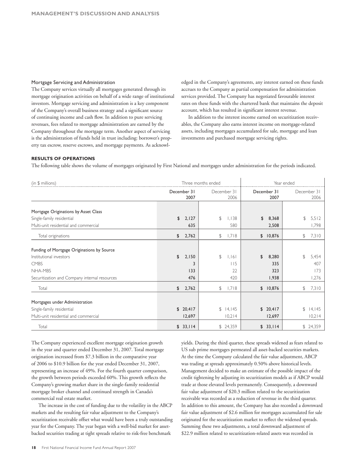#### Mortgage Servicing and Administration

The Company services virtually all mortgages generated through its mortgage origination activities on behalf of a wide range of institutional investors. Mortgage servicing and administration is a key component of the Company's overall business strategy and a significant source of continuing income and cash flow. In addition to pure servicing revenues, fees related to mortgage administration are earned by the Company throughout the mortgage term. Another aspect of servicing is the administration of funds held in trust including: borrower's property tax escrow, reserve escrows, and mortgage payments. As acknowledged in the Company's agreements, any interest earned on these funds accrues to the Company as partial compensation for administration services provided. The Company has negotiated favourable interest rates on these funds with the chartered bank that maintains the deposit account, which has resulted in significant interest revenue.

In addition to the interest income earned on securitization receivables, the Company also earns interest income on mortgage-related assets, including mortgages accumulated for sale, mortgage and loan investments and purchased mortgage servicing rights.

#### **Results of Operations**

The following table shows the volume of mortgages originated by First National and mortgages under administration for the periods indicated.

| (in \$ millions)                                                                     |                     | Three months ended            | Year ended          |                         |  |
|--------------------------------------------------------------------------------------|---------------------|-------------------------------|---------------------|-------------------------|--|
|                                                                                      | December 31<br>2007 | December 31<br>2006           | December 31<br>2007 | December 31<br>2006     |  |
| Mortgage Originations by Asset Class                                                 |                     |                               |                     |                         |  |
| Single-family residential                                                            | 2,127<br>\$         | $\mathcal{L}$<br>1.138        | 8,368<br>\$         | $\mathfrak{D}$<br>5,512 |  |
| Multi-unit residential and commercial                                                | 635                 | 580                           | 2,508               | 1,798                   |  |
| Total originations                                                                   | \$<br>2,762         | 1,718<br>$\mathfrak{D}$       | \$10,876            | 7,310<br>\$             |  |
| Funding of Mortgage Originations by Source<br>Institutional investors<br><b>CMBS</b> | \$<br>2,150<br>3    | $\frac{1}{2}$<br>1,161<br>115 | \$<br>8,280<br>335  | \$<br>5,454<br>407      |  |
| NHA-MBS                                                                              | 133                 | 22                            | 323                 | 173                     |  |
| Securitization and Company internal resources<br>Total                               | 476<br>2,762<br>\$  | 420<br>1,718<br>\$            | 1,938<br>\$10,876   | 1,276<br>7,310<br>\$    |  |
| Mortgages under Administration                                                       |                     |                               |                     |                         |  |
| Single-family residential                                                            | \$20,417            | \$14,145                      | \$20,417            | \$<br>14, 145           |  |
| Multi-unit residential and commercial                                                | 12,697              | 10,214                        | 12,697              | 10,214                  |  |
| Total                                                                                | \$33,114            | \$24,359                      | \$33,114            | \$24,359                |  |

The Company experienced excellent mortgage origination growth in the year and quarter ended December 31, 2007. Total mortgage origination increased from \$7.3 billion in the comparative year of 2006 to \$10.9 billion for the year ended December 31, 2007, representing an increase of 49%. For the fourth quarter comparison, the growth between periods exceeded 60%. This growth reflects the Company's growing market share in the single-family residential mortgage broker channel and continued strength in Canada's commercial real estate market.

The increase in the cost of funding due to the volatility in the ABCP markets and the resulting fair value adjustment to the Company's securitization receivable offset what would have been a truly outstanding year for the Company. The year began with a well-bid market for assetbacked securities trading at tight spreads relative to risk-free benchmark

yields. During the third quarter, these spreads widened as fears related to US sub prime mortgages permeated all asset-backed securities markets. At the time the Company calculated the fair value adjustment, ABCP was trading at spreads approximately 0.50% above historical levels. Management decided to make an estimate of the possible impact of the credit tightening by adjusting its securitization models as if ABCP would trade at those elevated levels permanently. Consequently, a downward fair value adjustment of \$20.3 million related to the securitization receivable was recorded as a reduction of revenue in the third quarter. In addition to this amount, the Company has also recorded a downward fair value adjustment of \$2.6 million for mortgages accumulated for sale originated for the securitization market to reflect the widened spreads. Summing these two adjustments, a total downward adjustment of \$22.9 million related to securitization-related assets was recorded in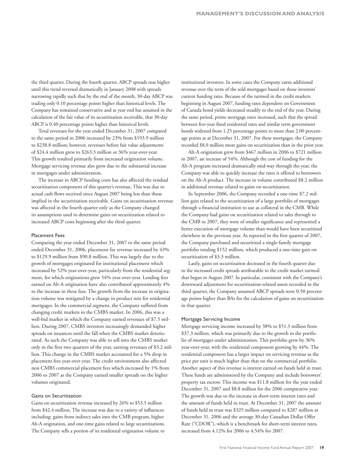the third quarter. During the fourth quarter, ABCP spreads rose higher until this trend reversed dramatically in January 2008 with spreads narrowing rapidly such that by the end of the month, 30-day ABCP was trading only 0.10 percentage points higher than historical levels. The Company has remained conservative and at year end has assumed in the calculation of the fair value of its securitization receivable, that 30-day ABCP is 0.40 percentage points higher than historical levels.

Total revenues for the year ended December 31, 2007 compared to the same period in 2006 increased by 23% from \$193.9 million to \$238.8 million; however, revenues before fair value adjustments of \$24.4 million grew to \$263.3 million or 36% year-over-year. This growth resulted primarily from increased origination volume. Mortgage servicing revenue also grew due to the substantial increase in mortgages under administration.

The increase in ABCP funding costs has also affected the residual securitization component of this quarter's revenue. This was due to actual cash flows received since August 2007 being less than those implied in the securitization receivable. Gains on securitization revenue was affected in the fourth quarter only as the Company changed its assumptions used to determine gains on securitization related to increased ABCP costs beginning after the third quarter.

#### Placement Fees

Comparing the year ended December 31, 2007 to the same period ended December 31, 2006, placement fee revenue increased by 43% to \$129.9 million from \$90.8 million. This was largely due to the growth of mortgages originated for institutional placement which increased by 52% year-over-year, particularly from the residential segment, for which originations grew 54% year-over-year. Lending fees earned on Alt-A origination have also contributed approximately 4% to the increase in these fees. The growth from the increase in origination volume was mitigated by a change in product mix for residential mortgages. In the commercial segment, the Company suffered from changing credit markets in the CMBS market. In 2006, this was a well-bid market in which the Company earned revenues of \$7.5 million. During 2007, CMBS investors increasingly demanded higher spreads on issuances until the fall when the CMBS market deteriorated. As such the Company was able to sell into the CMBS market only in the first two quarters of the year, earning revenues of \$3.2 million. This change in the CMBS market accounted for a 5% drop in placement fees year-over-year. The credit environment also affected non CMBS commercial placement fees which increased by 1% from 2006 to 2007 as the Company earned smaller spreads on the higher volumes originated.

#### Gains on Securitization

Gains on securitization revenue increased by 26% to \$53.5 million from \$42.4 million. The increase was due to a variety of influences including: gains from indirect sales into the CMB program, higher Alt-A origination, and one-time gains related to large securitizations. The Company sells a portion of its residential origination volume to

institutional investors. In some cases the Company earns additional revenue over the term of the sold mortgages based on those investors' current funding rates. Because of the turmoil in the credit markets beginning in August 2007, funding rates dependent on Government of Canada bond yields decreased steadily to the end of the year. During the same period, prime mortgage rates increased, such that the spread between five-year fixed residential rates and similar term government bonds widened from 1.25 percentage points to more than 2.00 percentage points as at December 31, 2007. For these mortgages, the Company recorded \$8.0 million more gains on securitization than in the prior year.

Alt-A origination grew from \$467 million in 2006 to \$721 million in 2007, an increase of 54%. Although the cost of funding for the Alt-A program increased dramatically mid-way through the year, the Company was able to quickly increase the rates it offered to borrowers on the Alt-A product. The increase in volume contributed \$8.2 million in additional revenue related to gains on securitization.

In September 2006, the Company recorded a one-time \$7.2 million gain related to the securitization of a large portfolio of mortgages through a financial institution to use as collateral in the CMB. While the Company had gains on securitization related to sales through to the CMB in 2007, they were of smaller significance and represented a better execution of mortgage volume than would have been securitized elsewhere in the previous year. As reported in the first quarter of 2007, the Company purchased and securitized a single-family mortgage portfolio totaling \$152 million, which produced a one-time gain on securitization of \$3.3 million.

Lastly, gains on securitization decreased in the fourth quarter due to the increased credit spreads attributable to the credit market turmoil that began in August 2007. In particular, consistent with the Company's downward adjustment for securitization-related assets recorded in the third quarter, the Company assumed ABCP spreads were 0.50 percentage points higher than BAs for the calculation of gains on securitization in that quarter.

## Mortgage Servicing Income

Mortgage servicing income increased by 38% to \$51.3 million from \$37.3 million, which was primarily due to the growth in the portfolio of mortgages under administration. This portfolio grew by 36% year-over-year, with the residential component growing by 44%. The residential component has a larger impact on servicing revenue as the price per unit is much higher than that on the commercial portfolio. Another aspect of this revenue is interest earned on funds held in trust. These funds are administered by the Company and include borrowers' property tax escrow. This income was \$11.8 million for the year ended December 31, 2007 and \$8.8 million for the 2006 comparative year. The growth was due to the increase in short-term interest rates and the amount of funds held in trust. At December 31, 2007 the amount of funds held in trust was \$325 million compared to \$287 million at December 31, 2006 and the average 30-day Canadian Dollar Offer Rate ("CDOR"), which is a benchmark for short-term interest rates, increased from 4.12% for 2006 to 4.54% for 2007.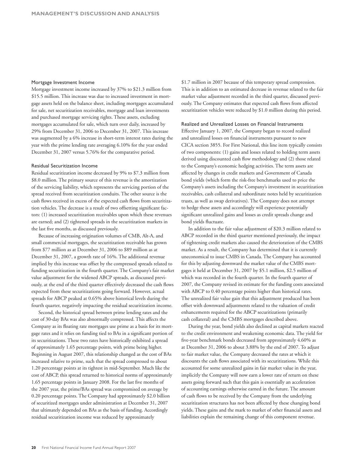#### Mortgage Investment Income

Mortgage investment income increased by 37% to \$21.3 million from \$15.5 million. This increase was due to increased investment in mortgage assets held on the balance sheet, including mortgages accumulated for sale, net securitization receivables, mortgage and loan investments and purchased mortgage servicing rights. These assets, excluding mortgages accumulated for sale, which turn over daily, increased by 29% from December 31, 2006 to December 31, 2007. This increase was augmented by a 6% increase in short-term interest rates during the year with the prime lending rate averaging 6.10% for the year ended December 31, 2007 versus 5.76% for the comparative period.

## Residual Securitization Income

Residual securitization income decreased by 9% to \$7.3 million from \$8.0 million. The primary source of this revenue is the amortization of the servicing liability, which represents the servicing portion of the spread received from securitization conduits. The other source is the cash flows received in excess of the expected cash flows from securitization vehicles. The decrease is a result of two offsetting significant factors: (1) increased securitization receivables upon which these revenues are earned; and (2) tightened spreads in the securitization markets in the last five months, as discussed previously.

Because of increasing origination volumes of CMB, Alt-A, and small commercial mortgages, the securitization receivable has grown from \$77 million as at December 31, 2006 to \$89 million as at December 31, 2007, a growth rate of 16%. The additional revenue implied by this increase was offset by the compressed spreads related to funding securitization in the fourth quarter. The Company's fair market value adjustment for the widened ABCP spreads, as discussed previously, at the end of the third quarter effectively decreased the cash flows expected from these securitizations going forward. However, actual spreads for ABCP peaked at 0.65% above historical levels during the fourth quarter, negatively impacting the residual securitization income.

Second, the historical spread between prime lending rates and the cost of 30-day BAs was also abnormally compressed. This affects the Company as its floating rate mortgages use prime as a basis for its mortgage rates and it relies on funding tied to BAs in a significant portion of its securitizations. These two rates have historically exhibited a spread of approximately 1.65 percentage points, with prime being higher. Beginning in August 2007, this relationship changed as the cost of BAs increased relative to prime, such that the spread compressed to about 1.20 percentage points at its tightest in mid-September. Much like the cost of ABCP, this spread returned to historical norms of approximately 1.65 percentage points in January 2008. For the last five months of the 2007 year, the prime/BAs spread was compromised on average by 0.20 percentage points. The Company had approximately \$2.0 billion of securitized mortgages under administration at December 31, 2007 that ultimately depended on BAs as the basis of funding. Accordingly residual securitization income was reduced by approximately

\$1.7 million in 2007 because of this temporary spread compression. This is in addition to an estimated decrease in revenue related to the fair market value adjustment recorded in the third quarter, discussed previously. The Company estimates that expected cash flows from affected securitization vehicles were reduced by \$1.0 million during this period.

Realized and Unrealized Losses on Financial Instruments Effective January 1, 2007, the Company began to record realized and unrealized losses on financial instruments pursuant to new CICA section 3855. For First National, this line item typically consists of two components: (1) gains and losses related to holding term assets derived using discounted cash flow methodology and (2) those related to the Company's economic hedging activities. The term assets are affected by changes in credit markets and Government of Canada bond yields (which form the risk-free benchmarks used to price the Company's assets including the Company's investment in securitization receivables, cash collateral and subordinate notes held by securitization trusts, as well as swap derivatives). The Company does not attempt to hedge these assets and accordingly will experience potentially significant unrealized gains and losses as credit spreads change and bond yields fluctuate.

In addition to the fair value adjustment of \$20.3 million related to ABCP recorded in the third quarter mentioned previously, the impact of tightening credit markets also caused the deterioration of the CMBS market. As a result, the Company has determined that it is currently uneconomical to issue CMBS in Canada. The Company has accounted for this by adjusting downward the market value of the CMBS mortgages it held at December 31, 2007 by \$5.1 million, \$2.5 million of which was recorded in the fourth quarter. In the fourth quarter of 2007, the Company revised its estimate for the funding costs associated with ABCP to 0.40 percentage points higher than historical rates. The unrealized fair value gain that this adjustment produced has been offset with downward adjustments related to the valuation of credit enhancements required for the ABCP securitizations (primarily cash collateral) and the CMBS mortgages described above.

During the year, bond yields also declined as capital markets reacted to the credit environment and weakening economic data. The yield for five-year benchmark bonds decreased from approximately 4.60% as at December 31, 2006 to about 3.88% by the end of 2007. To adjust to fair market value, the Company decreased the rates at which it discounts the cash flows associated with its securitizations. While this accounted for some unrealized gains in fair market value in the year, implicitly the Company will now earn a lower rate of return on these assets going forward such that this gain is essentially an acceleration of accounting earnings otherwise earned in the future. The amount of cash flows to be received by the Company from the underlying securitization structures has not been affected by these changing bond yields. These gains and the mark to market of other financial assets and liabilities explain the remaining change of this component revenue.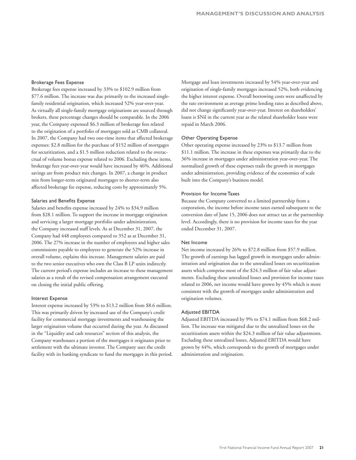#### Brokerage Fees Expense

Brokerage fees expense increased by 33% to \$102.9 million from \$77.6 million. The increase was due primarily to the increased singlefamily residential origination, which increased 52% year-over-year. As virtually all single-family mortgage originations are sourced through brokers, these percentage changes should be comparable. In the 2006 year, the Company expensed \$6.3 million of brokerage fees related to the origination of a portfolio of mortgages sold as CMB collateral. In 2007, the Company had two one-time items that affected brokerage expenses: \$2.8 million for the purchase of \$152 million of mortgages for securitization, and a \$1.5 million reduction related to the overaccrual of volume bonus expense related to 2006. Excluding these items, brokerage fees year-over-year would have increased by 46%. Additional savings are from product mix changes. In 2007, a change in product mix from longer-term originated mortgages to shorter-term also affected brokerage fee expense, reducing costs by approximately 5%.

#### Salaries and Benefits Expense

Salaries and benefits expense increased by 24% to \$34.9 million from \$28.1 million. To support the increase in mortgage origination and servicing a larger mortgage portfolio under administration, the Company increased staff levels. As at December 31, 2007, the Company had 448 employees compared to 352 as at December 31, 2006. The 27% increase in the number of employees and higher sales commissions payable to employees to generate the 52% increase in overall volume, explains this increase. Management salaries are paid to the two senior executives who own the Class B LP units indirectly. The current period's expense includes an increase to these management salaries as a result of the revised compensation arrangement executed on closing the initial public offering.

#### Interest Expense

Interest expense increased by 53% to \$13.2 million from \$8.6 million. This was primarily driven by increased use of the Company's credit facility for commercial mortgage investments and warehousing the larger origination volume that occurred during the year. As discussed in the "Liquidity and cash resources" section of this analysis, the Company warehouses a portion of the mortgages it originates prior to settlement with the ultimate investor. The Company uses the credit facility with its banking syndicate to fund the mortgages in this period. Mortgage and loan investments increased by 54% year-over-year and origination of single-family mortgages increased 52%, both evidencing the higher interest expense. Overall borrowing costs were unaffected by the rate environment as average prime lending rates as described above, did not change significantly year-over-year. Interest on shareholders' loans is \$Nil in the current year as the related shareholder loans were repaid in March 2006.

#### Other Operating Expense

Other operating expense increased by 23% to \$13.7 million from \$11.1 million. The increase in these expenses was primarily due to the 36% increase in mortgages under administration year-over-year. The normalized growth of these expenses trails the growth in mortgages under administration, providing evidence of the economies of scale built into the Company's business model.

#### Provision for Income Taxes

Because the Company converted to a limited partnership from a corporation, the income before income taxes earned subsequent to the conversion date of June 15, 2006 does not attract tax at the partnership level. Accordingly, there is no provision for income taxes for the year ended December 31, 2007.

#### Net Income

Net income increased by 26% to \$72.8 million from \$57.9 million. The growth of earnings has lagged growth in mortgages under administration and origination due to the unrealized losses on securitization assets which comprise most of the \$24.3 million of fair value adjustments. Excluding these unrealized losses and provision for income taxes related to 2006, net income would have grown by 45% which is more consistent with the growth of mortgages under administration and origination volumes.

#### Adjusted EBITDA

Adjusted EBITDA increased by 9% to \$74.1 million from \$68.2 million. The increase was mitigated due to the unrealized losses on the securitization assets within the \$24.3 million of fair value adjustments. Excluding these unrealized losses, Adjusted EBITDA would have grown by 44%, which corresponds to the growth of mortgages under administration and origination.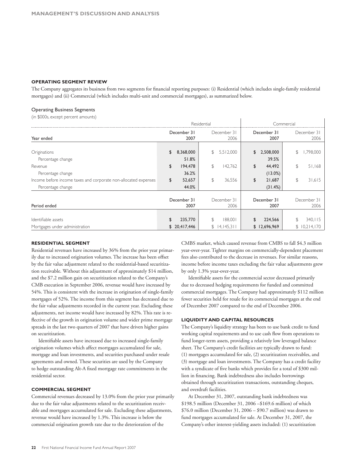## **Operating Segment Review**

The Company aggregates its business from two segments for financial reporting purposes: (i) Residential (which includes single-family residential mortgages) and (ii) Commercial (which includes multi-unit and commercial mortgages), as summarized below.

#### Operating Business Segments

(in \$000s, except percent amounts)

|                                                                                      |                               | Residential                   | Commercial                    |                                  |  |
|--------------------------------------------------------------------------------------|-------------------------------|-------------------------------|-------------------------------|----------------------------------|--|
| Year ended                                                                           | December 31<br>2007           | December 31<br>2006           | December 31<br>2007           | December 31<br>2006              |  |
| Originations<br>Percentage change                                                    | 8,368,000<br>\$<br>51.8%      | 5,512,000<br>\$               | 2,508,000<br>\$<br>39.5%      | ,798,000                         |  |
| Revenue<br>Percentage change                                                         | 194,478<br>\$<br>36.2%        | 142,762<br>\$                 | 44,492<br>\$<br>$(13.0\%)$    | 51,168<br>\$                     |  |
| Income before income taxes and corporate non-allocated expenses<br>Percentage change | \$<br>52,657<br>44.0%         | \$<br>36,556                  | \$<br>21,687<br>(31.4%)       | \$<br>31,615                     |  |
| Period ended                                                                         | December 31<br>2007           | December 31<br>2006           | December 31<br>2007           | December 31<br>2006              |  |
| Identifiable assets<br>Mortgages under administration                                | 235,770<br>\$<br>\$20,417,446 | 188,001<br>\$<br>\$14,145,311 | 224,566<br>\$<br>\$12,696,969 | 340, I I 5<br>\$<br>\$10,214,170 |  |

#### **Residential segment**

Residential revenues have increased by 36% from the prior year primarily due to increased origination volumes. The increase has been offset by the fair value adjustment related to the residential-based securitization receivable. Without this adjustment of approximately \$14 million, and the \$7.2 million gain on securitization related to the Company's CMB execution in September 2006, revenue would have increased by 54%. This is consistent with the increase in origination of single-family mortgages of 52%. The income from this segment has decreased due to the fair value adjustments recorded in the current year. Excluding these adjustments, net income would have increased by 82%. This rate is reflective of the growth in origination volume and wider prime mortgage spreads in the last two quarters of 2007 that have driven higher gains on securitization.

Identifiable assets have increased due to increased single-family origination volumes which affect mortgages accumulated for sale, mortgage and loan investments, and securities purchased under resale agreements and owned. These securities are used by the Company to hedge outstanding Alt-A fixed mortgage rate commitments in the residential sector.

#### **Commercial Segment**

Commercial revenues decreased by 13.0% from the prior year primarily due to the fair value adjustments related to the securitization receivable and mortgages accumulated for sale. Excluding these adjustments, revenue would have increased by 1.3%. This increase is below the commercial origination growth rate due to the deterioration of the

CMBS market, which caused revenue from CMBS to fall \$4.3 million year-over-year. Tighter margins on commercially-dependent placement fees also contributed to the decrease in revenues. For similar reasons, income before income taxes excluding the fair value adjustments grew by only 1.3% year-over-year.

 $\mathbf{I}$ 

Identifiable assets for the commercial sector decreased primarily due to decreased hedging requirements for funded and committed commercial mortgages. The Company had approximately \$112 million fewer securities held for resale for its commercial mortgages at the end of December 2007 compared to the end of December 2006.

#### **Liquidity and Capital Resources**

The Company's liquidity strategy has been to use bank credit to fund working capital requirements and to use cash flow from operations to fund longer-term assets, providing a relatively low leveraged balance sheet. The Company's credit facilities are typically drawn to fund: (1) mortgages accumulated for sale, (2) securitization receivables, and (3) mortgage and loan investments. The Company has a credit facility with a syndicate of five banks which provides for a total of \$300 million in financing. Bank indebtedness also includes borrowings obtained through securitization transactions, outstanding cheques, and overdraft facilities.

At December 31, 2007, outstanding bank indebtedness was \$198.5 million (December 31, 2006 –\$169.6 million) of which \$76.0 million (December 31, 2006 – \$90.7 million) was drawn to fund mortgages accumulated for sale. At December 31, 2007, the Company's other interest-yielding assets included: (1) securitization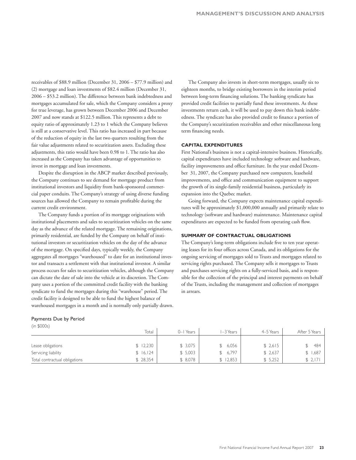receivables of \$88.9 million (December 31, 2006 – \$77.9 million) and (2) mortgage and loan investments of \$82.4 million (December 31, 2006 – \$53.2 million). The difference between bank indebtedness and mortgages accumulated for sale, which the Company considers a proxy for true leverage, has grown between December 2006 and December 2007 and now stands at \$122.5 million. This represents a debt to equity ratio of approximately 1.23 to 1 which the Company believes is still at a conservative level. This ratio has increased in part because of the reduction of equity in the last two quarters resulting from the fair value adjustments related to securitization assets. Excluding these adjustments, this ratio would have been 0.98 to 1. The ratio has also increased as the Company has taken advantage of opportunities to invest in mortgage and loan investments.

Despite the disruption in the ABCP market described previously, the Company continues to see demand for mortgage product from institutional investors and liquidity from bank-sponsored commercial paper conduits. The Company's strategy of using diverse funding sources has allowed the Company to remain profitable during the current credit environment.

The Company funds a portion of its mortgage originations with institutional placements and sales to securitization vehicles on the same day as the advance of the related mortgage. The remaining originations, primarily residential, are funded by the Company on behalf of institutional investors or securitization vehicles on the day of the advance of the mortgage. On specified days, typically weekly, the Company aggregates all mortgages "warehoused" to date for an institutional investor and transacts a settlement with that institutional investor. A similar process occurs for sales to securitization vehicles, although the Company can dictate the date of sale into the vehicle at its discretion. The Company uses a portion of the committed credit facility with the banking syndicate to fund the mortgages during this "warehouse" period. The credit facility is designed to be able to fund the highest balance of warehoused mortgages in a month and is normally only partially drawn.

#### Payments Due by Period

(in \$000s) Total 0–1 Years 1–3 Years 4–5 Years After 5 Years Lease obligations \$ 12,230 | \$ 3,075 | \$ 6,056 | \$ 2,615 | \$ 484 Servicing liability \$ 16,124 | \$ 5,003 | \$ 6,797 | \$ 2,637 | \$ 1,687 Total contractual obligations 6 28,354 \$ 28,354 \$ 8,078 \$ 12,853 \$ 5,252 \$ 2,171

The Company also invests in short-term mortgages, usually six to eighteen months, to bridge existing borrowers in the interim period between long-term financing solutions. The banking syndicate has provided credit facilities to partially fund these investments. As these investments return cash, it will be used to pay down this bank indebtedness. The syndicate has also provided credit to finance a portion of the Company's securitization receivables and other miscellaneous long term financing needs.

## **Capital Expenditures**

First National's business is not a capital-intensive business. Historically, capital expenditures have included technology software and hardware, facility improvements and office furniture. In the year ended December 31, 2007, the Company purchased new computers, leasehold improvements, and office and communication equipment to support the growth of its single-family residential business, particularly its expansion into the Quebec market.

Going forward, the Company expects maintenance capital expenditures will be approximately \$1,000,000 annually and primarily relate to technology (software and hardware) maintenance. Maintenance capital expenditures are expected to be funded from operating cash flow.

#### **Summary of Contractual Obligations**

The Company's long-term obligations include five to ten year operating leases for its four offices across Canada, and its obligations for the ongoing servicing of mortgages sold to Trusts and mortgages related to servicing rights purchased. The Company sells it mortgages to Trusts and purchases servicing rights on a fully-serviced basis, and is responsible for the collection of the principal and interest payments on behalf of the Trusts, including the management and collection of mortgages in arrears.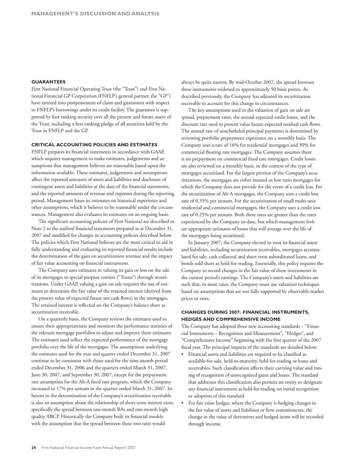## **Guarantees**

First National Financial Operating Trust (the "Trust") and First National Financial GP Corporation (FNFLP's general partner, the "GP") have entered into postponement of claim and guarantees with respect to FNFLP's borrowings under its credit facility. The guarantee is supported by first ranking security over all the present and future assets of the Trust, including a first ranking pledge of all securities held by the Trust in FNFLP and the GP.

## **Critical Accounting Policies and Estimates**

FNFLP prepares its financial statements in accordance with GAAP, which requires management to make estimates, judgements and assumptions that management believes are reasonable based upon the information available. These estimates, judgements and assumptions affect the reported amounts of assets and liabilities and disclosure of contingent assets and liabilities at the date of the financial statements, and the reported amounts of revenue and expenses during the reporting period. Management bases its estimates on historical experience and other assumptions, which it believes to be reasonable under the circumstances. Management also evaluates its estimates on an ongoing basis.

The significant accounting policies of First National are described in Note 2 to the audited financial statements prepared as at December 31, 2007 and modified for changes in accounting policies described below. The policies which First National believes are the most critical to aid in fully understanding and evaluating its reported financial results include the determination of the gain on securitization revenue and the impact of fair value accounting on financial instruments.

The Company uses estimates in valuing its gain or loss on the sale of its mortgages to special purpose entities ("Trusts") through securitizations. Under GAAP, valuing a gain on sale requires the use of estimates to determine the fair value of the retained interest (derived from the present value of expected future net cash flows) in the mortgages. The retained interest is reflected on the Company's balance sheet as securitization receivable.

On a quarterly basis, the Company reviews the estimates used to ensure their appropriateness and monitors the performance statistics of the relevant mortgage portfolios to adjust and improve these estimates. The estimates used reflect the expected performance of the mortgage portfolio over the life of the mortgages. The assumptions underlying the estimates used for the year and quarter ended December 31, 2007 continue to be consistent with those used for the nine-month period ended December 31, 2006 and the quarters ended March 31, 2007, June 30, 2007, and September 30, 2007, except for the prepayment rate assumption for the Alt-A fixed rate program, which the Company increased to 17% per annum in the quarter ended March 31, 2007. Inherent in the determination of the Company's securitization receivable is also an assumption about the relationship of short-term interest rates, specifically the spread between one-month BAs and one-month high quality ABCP. Historically the Company built its financial models with the assumption that the spread between these two rates would

always be quite narrow. By mid-October 2007, the spread between these instruments widened to approximately 50 basis points. As described previously, the Company has adjusted its securitization receivable to account for this change in circumstances.

The key assumptions used in the valuation of gain on sale are spread, prepayment rates, the annual expected credit losses, and the discount rate used to present value future expected residual cash flows. The annual rate of unscheduled principal payments is determined by reviewing portfolio prepayment experience on a monthly basis. The Company uses a rate of 16% for residential mortgages and 30% for commercial floating rate mortgages. The Company assumes there is no prepayment on commercial fixed rate mortgages. Credit losses are also reviewed on a monthly basis, in the context of the type of mortgages securitized. For the largest portion of the Company's securitizations, the mortgages are either insured or low ratio mortgages for which the Company does not provide for the event of a credit loss. For the securitization of Alt-A mortgages, the Company uses a credit loss rate of 0.35% per annum. For the securitization of small multi-unit residential and commercial mortgages, the Company uses a credit loss rate of 0.25% per annum. Both these rates are greater than the rates experienced by the Company to-date, but which management feels are appropriate estimates of losses that will average over the life of the mortgages being securitized.

In January 2007, the Company elected to treat its financial assets and liabilities, including securitization receivables, mortgages accumulated for sale, cash collateral and short term subordinated loans, and bonds sold short as held-for-trading. Essentially, this policy requires the Company to record changes in the fair value of these instruments in the current period's earnings. The Company's assets and liabilities are such that, in most cases, the Company must use valuation techniques based on assumptions that are not fully supported by observable market prices or rates.

## **Changes During 2007: Financial Instruments, Hedges and Comprehensive Income**

The Company has adopted three new accounting standards – "Financial Instruments – Recognition and Measurement", "Hedges", and "Comprehensive Income" beginning with the first quarter of the 2007 fiscal year. The principal impacts of the standards are detailed below:

- • Financial assets and liabilities are required to be classified as available-for-sale, held-to-maturity, held-for-trading or loans and receivables. Such classification affects their carrying value and timing of recognition of unrecognized gains and losses. The standard that addresses this classification also permits an entity to designate any financial instrument as held-for-trading on initial recognition or adoption of this standard.
- • For fair value hedges, where the Company is hedging changes in the fair value of assets and liabilities or firm commitments, the change in the value of derivatives and hedged items will be recorded through income.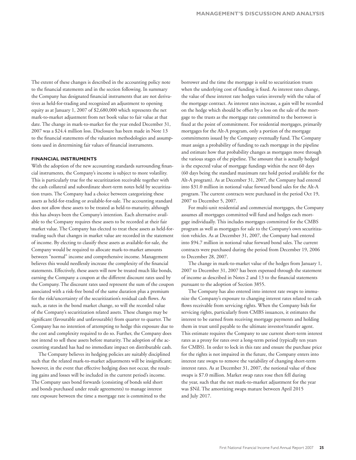The extent of these changes is described in the accounting policy note to the financial statements and in the section following. In summary the Company has designated financial instruments that are not derivatives as held-for-trading and recognized an adjustment to opening equity as at January 1, 2007 of \$2,680,000 which represents the net mark-to-market adjustment from net book value to fair value at that date. The change in mark-to-market for the year ended December 31, 2007 was a \$24.4 million loss. Disclosure has been made in Note 13 to the financial statements of the valuation methodologies and assumptions used in determining fair values of financial instruments.

#### **Financial Instruments**

With the adoption of the new accounting standards surrounding financial instruments, the Company's income is subject to more volatility. This is particularly true for the securitization receivable together with the cash collateral and subordinate short-term notes held by securitization trusts. The Company had a choice between categorizing these assets as held-for-trading or available-for-sale. The accounting standard does not allow these assets to be treated as held-to-maturity, although this has always been the Company's intention. Each alternative available to the Company requires these assets to be recorded at their fair market value. The Company has elected to treat these assets as held-fortrading such that changes in market value are recorded in the statement of income. By electing to classify these assets as available-for-sale, the Company would be required to allocate mark-to-market amounts between "normal" income and comprehensive income. Management believes this would needlessly increase the complexity of the financial statements. Effectively, these assets will now be treated much like bonds, earning the Company a coupon at the different discount rates used by the Company. The discount rates used represent the sum of the coupon associated with a risk-free bond of the same duration plus a premium for the risk/uncertainty of the securitization's residual cash flows. As such, as rates in the bond market change, so will the recorded value of the Company's securitization related assets. These changes may be significant (favourable and unfavourable) from quarter to quarter. The Company has no intention of attempting to hedge this exposure due to the cost and complexity required to do so. Further, the Company does not intend to sell these assets before maturity. The adoption of the accounting standard has had no immediate impact on distributable cash.

The Company believes its hedging policies are suitably disciplined such that the related mark-to-market adjustments will be insignificant; however, in the event that effective hedging does not occur, the resulting gains and losses will be included in the current period's income. The Company uses bond forwards (consisting of bonds sold short and bonds purchased under resale agreements) to manage interest rate exposure between the time a mortgage rate is committed to the

borrower and the time the mortgage is sold to securitization trusts when the underlying cost of funding is fixed. As interest rates change, the value of these interest rate hedges varies inversely with the value of the mortgage contract. As interest rates increase, a gain will be recorded on the hedge which should be offset by a loss on the sale of the mortgage to the trusts as the mortgage rate committed to the borrower is fixed at the point of commitment. For residential mortgages, primarily mortgages for the Alt-A program, only a portion of the mortgage commitments issued by the Company eventually fund. The Company must assign a probability of funding to each mortgage in the pipeline and estimate how that probability changes as mortgages move through the various stages of the pipeline. The amount that is actually hedged is the expected value of mortgage fundings within the next 60 days (60 days being the standard maximum rate hold period available for the Alt-A program). As at December 31, 2007, the Company had entered into \$31.0 million in notional value forward bond sales for the Alt-A program. The current contracts were purchased in the period Oct 19, 2007 to December 5, 2007.

For multi-unit residential and commercial mortgages, the Company assumes all mortgages committed will fund and hedges each mortgage individually. This includes mortgages committed for the CMBS program as well as mortgages for sale to the Company's own securitization vehicles. As at December 31, 2007, the Company had entered into \$94.7 million in notional value forward bond sales. The current contracts were purchased during the period from December 19, 2006 to December 28, 2007.

The change in mark-to-market value of the hedges from January 1, 2007 to December 31, 2007 has been expensed through the statement of income as described in Notes 2 and 13 to the financial statements pursuant to the adoption of Section 3855.

The Company has also entered into interest rate swaps to immunize the Company's exposure to changing interest rates related to cash flows receivable from servicing rights. When the Company bids for servicing rights, particularly from CMBS issuances, it estimates the interest to be earned from receiving mortgage payments and holding them in trust until payable to the ultimate investor/transfer agent. This estimate requires the Company to use current short-term interest rates as a proxy for rates over a long-term period (typically ten years for CMBS). In order to lock in this rate and ensure the purchase price for the rights is not impaired in the future, the Company enters into interest rate swaps to remove the variability of changing short-term interest rates. As at December 31, 2007, the notional value of these swaps is \$7.0 million. Market swap rates rose then fell during the year, such that the net mark-to-market adjustment for the year was \$Nil. The amortizing swaps mature between April 2015 and July 2017.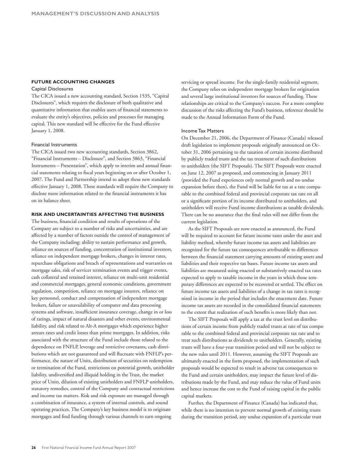## **Future Accounting Changes**

#### Capital Disclosures

The CICA issued a new accounting standard, Section 1535, "Capital Disclosures", which requires the disclosure of both qualitative and quantitative information that enables users of financial statements to evaluate the entity's objectives, policies and processes for managing capital. This new standard will be effective for the Fund effective January 1, 2008.

#### Financial Instruments

The CICA issued two new accounting standards, Section 3862, "Financial Instruments – Disclosure", and Section 3863, "Financial Instruments – Presentation", which apply to interim and annual financial statements relating to fiscal years beginning on or after October 1, 2007. The Fund and Partnership intend to adopt these new standards effective January 1, 2008. These standards will require the Company to disclose more information related to the financial instruments it has on its balance sheet.

#### **Risk and Uncertainties Affecting the Business**

The business, financial condition and results of operations of the Company are subject to a number of risks and uncertainties, and are affected by a number of factors outside the control of management of the Company including: ability to sustain performance and growth, reliance on sources of funding, concentration of institutional investors, reliance on independent mortgage brokers, changes in interest rates, repurchase obligations and breach of representations and warranties on mortgage sales, risk of servicer termination events and trigger events, cash collateral and retained interest, reliance on multi-unit residential and commercial mortgages, general economic conditions, government regulation, competition, reliance on mortgage insurers, reliance on key personnel, conduct and compensation of independent mortgage brokers, failure or unavailability of computer and data processing systems and software, insufficient insurance coverage, change in or loss of ratings, impact of natural disasters and other events, environmental liability, and risk related to Alt-A mortgages which experience higher arrears rates and credit losses than prime mortgages. In addition, risks associated with the structure of the Fund include those related to the dependence on FNFLP, leverage and restrictive covenants, cash distributions which are not guaranteed and will fluctuate with FNFLP's performance, the nature of Units, distribution of securities on redemption or termination of the Fund, restrictions on potential growth, unitholder liability, undiversified and illiquid holding in the Trust, the market price of Units, dilution of existing unitholders and FNFLP unitholders, statutory remedies, control of the Company and contractual restrictions and income tax matters. Risk and risk exposure are managed through a combination of insurance, a system of internal controls, and sound operating practices. The Company's key business model is to originate mortgages and find funding through various channels to earn ongoing

servicing or spread income. For the single-family residential segment, the Company relies on independent mortgage brokers for origination and several large institutional investors for sources of funding. These relationships are critical to the Company's success. For a more complete discussion of the risks affecting the Fund's business, reference should be made to the Annual Information Form of the Fund.

## Income Tax Matters

On December 21, 2006, the Department of Finance (Canada) released draft legislation to implement proposals originally announced on October 31, 2006 pertaining to the taxation of certain income distributed by publicly traded trusts and the tax treatment of such distributions to unitholders (the SIFT Proposals). The SIFT Proposals were enacted on June 12, 2007 as proposed, and commencing in January 2011 (provided the Fund experiences only normal growth and no undue expansion before then), the Fund will be liable for tax at a rate comparable to the combined federal and provincial corporate tax rate on all or a significant portion of its income distributed to unitholders, and unitholders will receive Fund income distributions as taxable dividends. There can be no assurance that the final rules will not differ from the current legislation.

As the SIFT Proposals are now enacted as announced, the Fund will be required to account for future income taxes under the asset and liability method, whereby future income tax assets and liabilities are recognized for the future tax consequences attributable to differences between the financial statement carrying amounts of existing assets and liabilities and their respective tax bases. Future income tax assets and liabilities are measured using enacted or substantively enacted tax rates expected to apply to taxable income in the years in which those temporary differences are expected to be recovered or settled. The effect on future income tax assets and liabilities of a change in tax rates is recognized in income in the period that includes the enactment date. Future income tax assets are recorded in the consolidated financial statements to the extent that realization of such benefits is more likely than not.

The SIFT Proposals will apply a tax at the trust level on distributions of certain income from publicly traded trusts at rate of tax comparable to the combined federal and provincial corporate tax rate and to treat such distributions as dividends to unitholders. Generally, existing trusts will have a four-year transition period and will not be subject to the new rules until 2011. However, assuming the SIFT Proposals are ultimately enacted in the form proposed, the implementation of such proposals would be expected to result in adverse tax consequences to the Fund and certain unitholders, may impact the future level of distributions made by the Fund, and may reduce the value of Fund units and hence increase the cost to the Fund of raising capital in the public capital markets.

Further, the Department of Finance (Canada) has indicated that, while there is no intention to prevent normal growth of existing trusts during the transition period, any undue expansion of a particular trust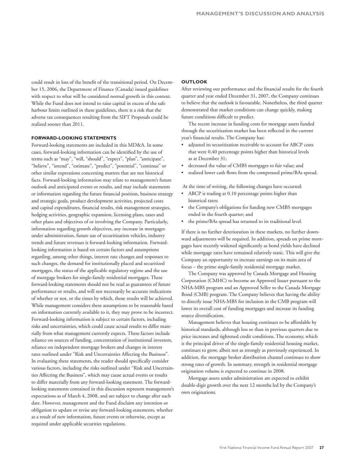could result in loss of the benefit of the transitional period. On December 15, 2006, the Department of Finance (Canada) issued guidelines with respect to what will be considered normal growth in this context. While the Fund does not intend to raise capital in excess of the safe harbour limits outlined in these guidelines, there is a risk that the adverse tax consequences resulting from the SIFT Proposals could be realized sooner than 2011.

#### **Forward-Looking Statements**

Forward-looking statements are included in this MD&A. In some cases, forward-looking information can be identified by the use of terms such as "may", "will, "should", "expect", "plan", "anticipate", ''believe'', ''intend'', ''estimate'', ''predict'', ''potential'', ''continue'' or other similar expressions concerning matters that are not historical facts. Forward-looking information may relate to management's future outlook and anticipated events or results, and may include statements or information regarding the future financial position, business strategy and strategic goals, product development activities, projected costs and capital expenditures, financial results, risk management strategies, hedging activities, geographic expansion, licensing plans, taxes and other plans and objectives of or involving the Company. Particularly, information regarding growth objectives, any increase in mortgages under administration, future use of securitization vehicles, industry trends and future revenues is forward-looking information. Forwardlooking information is based on certain factors and assumptions regarding, among other things, interest rate changes and responses to such changes, the demand for institutionally placed and securitized mortgages, the status of the applicable regulatory regime and the use of mortgage brokers for single-family residential mortgages. These forward-looking statements should not be read as guarantees of future performance or results, and will not necessarily be accurate indications of whether or not, or the times by which, those results will be achieved. While management considers these assumptions to be reasonable based on information currently available to it, they may prove to be incorrect. Forward-looking information is subject to certain factors, including risks and uncertainties, which could cause actual results to differ materially from what management currently expects. These factors include reliance on sources of funding, concentration of institutional investors, reliance on independent mortgage brokers and changes in interest rates outlined under ''Risk and Uncertainties Affecting the Business''. In evaluating these statements, the reader should specifically consider various factors, including the risks outlined under ''Risk and Uncertainties Affecting the Business'', which may cause actual events or results to differ materially from any forward-looking statement. The forwardlooking statements contained in this discussion represent management's expectations as of March 4, 2008, and are subject to change after such date. However, management and the Fund disclaim any intention or obligation to update or revise any forward-looking statements, whether as a result of new information, future events or otherwise, except as required under applicable securities regulations.

#### **Outlook**

After reviewing our performance and the financial results for the fourth quarter and year ended December 31, 2007, the Company continues to believe that the outlook is favourable. Nonetheless, the third quarter demonstrated that market conditions can change quickly, making future conditions difficult to predict.

The recent increase in funding costs for mortgage assets funded through the securitization market has been reflected in the current year's financial results. The Company has:

- • adjusted its securitization receivable to account for ABCP costs that were 0.40 percentage points higher than historical levels as at December 31;
- decreased the value of CMBS mortgages to fair value; and
- realized lower cash flows from the compressed prime/BAs spread.

At the time of writing, the following changes have occurred:

- • ABCP is trading at 0.10 percentage points higher than historical rates;
- • the Company's obligations for funding new CMBS mortgages ended in the fourth quarter; and
- the prime/BAs spread has returned to its traditional level.

If there is no further deterioration in these markets, no further downward adjustments will be required. In addition, spreads on prime mortgages have recently widened significantly as bond yields have declined while mortgage rates have remained relatively static. This will give the Company an opportunity to increase earnings on its main area of focus – the prime single-family residential mortgage market.

The Company was approved by Canada Mortgage and Housing Corporation (CMHC) to become an Approved Issuer pursuant to the NHA-MBS program and an Approved Seller to the Canada Mortgage Bond (CMB) program. The Company believes that having the ability to directly issue NHA-MBS for inclusion in the CMB program will lower its overall cost of funding mortgages and increase its funding source diversification.

Management believes that housing continues to be affordable by historical standards, although less so than in previous quarters due to price increases and tightened credit conditions. The economy, which is the principal driver of the single-family residential housing market, continues to grow, albeit not as strongly as previously experienced. In addition, the mortgage broker distribution channel continues to show strong rates of growth. In summary, strength in residential mortgage origination volume is expected to continue in 2008.

Mortgage assets under administration are expected to exhibit double-digit growth over the next 12 months led by the Company's own originations.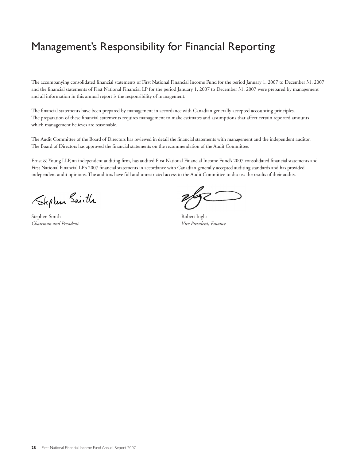# Management's Responsibility for Financial Reporting

The accompanying consolidated financial statements of First National Financial Income Fund for the period January 1, 2007 to December 31, 2007 and the financial statements of First National Financial LP for the period January 1, 2007 to December 31, 2007 were prepared by management and all information in this annual report is the responsibility of management.

The financial statements have been prepared by management in accordance with Canadian generally accepted accounting principles. The preparation of these financial statements requires management to make estimates and assumptions that affect certain reported amounts which management believes are reasonable.

The Audit Committee of the Board of Directors has reviewed in detail the financial statements with management and the independent auditor. The Board of Directors has approved the financial statements on the recommendation of the Audit Committee.

Ernst & Young LLP, an independent auditing firm, has audited First National Financial Income Fund's 2007 consolidated financial statements and First National Financial LP's 2007 financial statements in accordance with Canadian generally accepted auditing standards and has provided independent audit opinions. The auditors have full and unrestricted access to the Audit Committee to discuss the results of their audits.

Stephen Smith

Stephen Smith Robert Inglis *Chairman and President Vice President, Finance*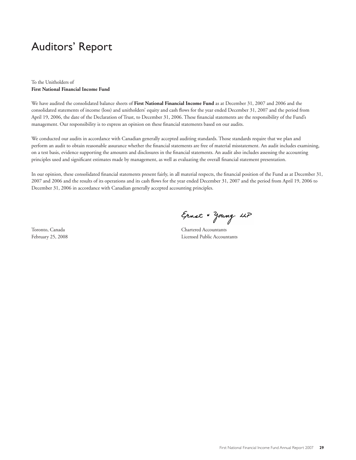# Auditors' Report

## To the Unitholders of **First National Financial Income Fund**

We have audited the consolidated balance sheets of **First National Financial Income Fund** as at December 31, 2007 and 2006 and the consolidated statements of income (loss) and unitholders' equity and cash flows for the year ended December 31, 2007 and the period from April 19, 2006, the date of the Declaration of Trust, to December 31, 2006. These financial statements are the responsibility of the Fund's management. Our responsibility is to express an opinion on these financial statements based on our audits.

We conducted our audits in accordance with Canadian generally accepted auditing standards. Those standards require that we plan and perform an audit to obtain reasonable assurance whether the financial statements are free of material misstatement. An audit includes examining, on a test basis, evidence supporting the amounts and disclosures in the financial statements. An audit also includes assessing the accounting principles used and significant estimates made by management, as well as evaluating the overall financial statement presentation.

In our opinion, these consolidated financial statements present fairly, in all material respects, the financial position of the Fund as at December 31, 2007 and 2006 and the results of its operations and its cash flows for the year ended December 31, 2007 and the period from April 19, 2006 to December 31, 2006 in accordance with Canadian generally accepted accounting principles.

Ernst & young up

Toronto, Canada Chartered Accountants February 25, 2008 Licensed Public Accountants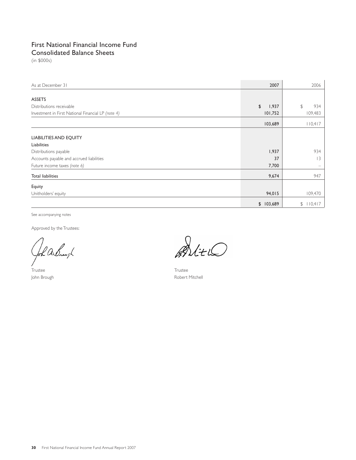# First National Financial Income Fund Consolidated Balance Sheets

(in \$000s)

| As at December 31                                  | 2007        | 2006              |
|----------------------------------------------------|-------------|-------------------|
|                                                    |             |                   |
| <b>ASSETS</b>                                      |             |                   |
| Distributions receivable                           | \$<br>1,937 | 934<br>$\sqrt{2}$ |
| Investment in First National Financial LP (note 4) | 101,752     | 109,483           |
|                                                    | 103,689     | 110,417           |
| <b>LIABILITIES AND EQUITY</b>                      |             |                   |
| Liabilities                                        |             |                   |
| Distributions payable                              | 1,937       | 934               |
| Accounts payable and accrued liabilities           | 37          | 13                |
| Future income taxes (note 6)                       | 7,700       |                   |
| <b>Total liabilities</b>                           | 9,674       | 947               |
| Equity                                             |             |                   |
| Unitholders' equity                                | 94,015      | 109,470           |
|                                                    | \$103,689   | \$110,417         |

See accompanying notes

Approved by the Trustees:

Joh a Brough

Trustee Trustee

AlitiO

John Brough **Robert Mitchell**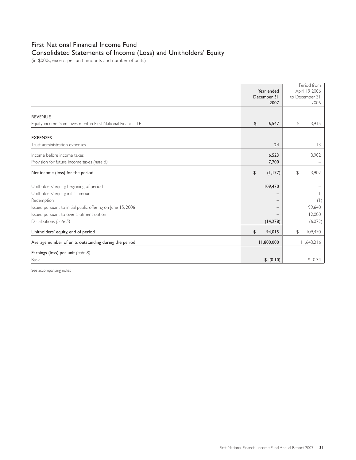# First National Financial Income Fund Consolidated Statements of Income (Loss) and Unitholders' Equity

(in \$000s, except per unit amounts and number of units)

|                                                                                 | Year ended<br>December 31<br>2007 | Period from<br>April 19 2006<br>to December 31<br>2006 |
|---------------------------------------------------------------------------------|-----------------------------------|--------------------------------------------------------|
| <b>REVENUE</b>                                                                  |                                   |                                                        |
| Equity income from investment in First National Financial LP                    | \$<br>6,547                       | \$<br>3,915                                            |
| <b>EXPENSES</b><br>Trust administration expenses                                | 24                                | 3                                                      |
| Income before income taxes<br>Provision for future income taxes (note 6)        | 6,523<br>7,700                    | 3,902                                                  |
| Net income (loss) for the period                                                | \$<br>(1, 177)                    | \$<br>3,902                                            |
| Unitholders' equity, beginning of period<br>Unitholders' equity, initial amount | 109,470                           |                                                        |
| Redemption                                                                      |                                   | $(\vert)$                                              |
| Issued pursuant to initial public offering on June 15, 2006                     |                                   | 99,640                                                 |
| Issued pursuant to over-allotment option                                        |                                   | 12,000                                                 |
| Distributions (note 5)                                                          | (14, 278)                         | (6,072)                                                |
| Unitholders' equity, end of period                                              | \$<br>94,015                      | \$<br>109,470                                          |
| Average number of units outstanding during the period                           | 11,800,000                        | 11,643,216                                             |
| Earnings (loss) per unit (note 8)<br><b>Basic</b>                               | \$ (0.10)                         | \$0.34                                                 |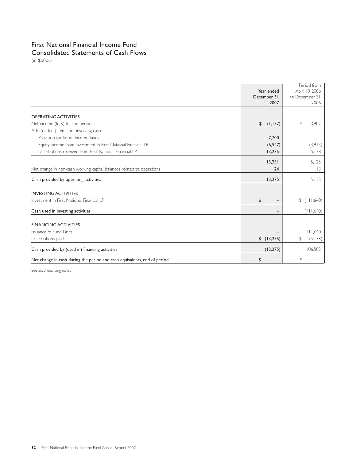# First National Financial Income Fund Consolidated Statements of Cash Flows

(in \$000s)

|                                                                          |                | Period from             |
|--------------------------------------------------------------------------|----------------|-------------------------|
|                                                                          | Year ended     | April 19 2006           |
|                                                                          | December 31    | to December 31          |
|                                                                          | 2007           | 2006                    |
| <b>OPERATING ACTIVITIES</b>                                              |                |                         |
| Net income (loss) for the period                                         | \$<br>(1, 177) | $\mathfrak{D}$<br>3,902 |
| Add (deduct) items not involving cash                                    |                |                         |
| Provision for future income taxes                                        | 7,700          |                         |
| Equity income from investment in First National Financial LP             | (6, 547)       | (3,915)                 |
| Distributions received from First National Financial LP                  | 13,275         | 5,138                   |
|                                                                          |                |                         |
|                                                                          | 13,251         | 5, 125                  |
| Net change in non-cash working capital balances related to operations    | 24             | 13                      |
| Cash provided by operating activities                                    | 13,275         | 5,138                   |
|                                                                          |                |                         |
| <b>INVESTING ACTIVITIES</b>                                              |                |                         |
| Investment in First National Financial LP                                | \$             | \$ (111,640)            |
| Cash used in investing activities                                        |                | (111,640)               |
| <b>FINANCING ACTIVITIES</b>                                              |                |                         |
|                                                                          |                |                         |
| Issuance of Fund Units                                                   |                | 11,640                  |
| Distributions paid                                                       | $$$ $(13,275)$ | (5, 138)<br>\$          |
| Cash provided by (used in) financing activities                          | (13, 275)      | 106,502                 |
| Net change in cash during the period and cash equivalents, end of period | \$             | $\mathcal{L}$           |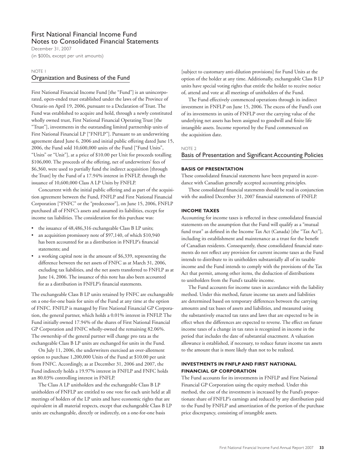## First National Financial Income Fund Notes to Consolidated Financial Statements

December 31, 2007 (in \$000s, except per unit amounts)

## NOTE<sub>1</sub> Organization and Business of the Fund

First National Financial Income Fund [the "Fund"] is an unincorporated, open-ended trust established under the laws of the Province of Ontario on April 19, 2006, pursuant to a Declaration of Trust. The Fund was established to acquire and hold, through a newly constituted wholly owned trust, First National Financial Operating Trust [the "Trust"], investments in the outstanding limited partnership units of First National Financial LP ["FNFLP"]. Pursuant to an underwriting agreement dated June 6, 2006 and initial public offering dated June 15, 2006, the Fund sold 10,600,000 units of the Fund ["Fund Units", "Units" or "Unit"], at a price of \$10.00 per Unit for proceeds totalling \$106,000. The proceeds of the offering, net of underwriters' fees of \$6,360, were used to partially fund the indirect acquisition [through the Trust] by the Fund of a 17.94% interest in FNFLP, through the issuance of 10,600,000 Class A LP Units by FNFLP.

Concurrent with the initial public offering and as part of the acquisition agreement between the Fund, FNFLP and First National Financial Corporation ["FNFC" or the "predecessor"], on June 15, 2006, FNFLP purchased all of FNFC's assets and assumed its liabilities, except for income tax liabilities. The consideration for this purchase was:

- the issuance of 48,486,316 exchangeable Class B LP units;
- an acquisition promissory note of \$97,140, of which \$10,940 has been accounted for as a distribution in FNFLP's financial statements; and
- a working capital note in the amount of \$6,339, representing the difference between the net assets of FNFC as at March 31, 2006, excluding tax liabilities, and the net assets transferred to FNFLP as at June 14, 2006. The issuance of this note has also been accounted for as a distribution in FNFLP's financial statements.

The exchangeable Class B LP units retained by FNFC are exchangeable on a one-for-one basis for units of the Fund at any time at the option of FNFC. FNFLP is managed by First National Financial GP Corporation, the general partner, which holds a 0.01% interest in FNFLP. The Fund initially owned 17.94% of the shares of First National Financial GP Corporation and FNFC wholly-owned the remaining 82.06%. The ownership of the general partner will change pro rata as the exchangeable Class B LP units are exchanged for units in the Fund.

On July 11, 2006, the underwriters exercised an over-allotment option to purchase 1,200,000 Units of the Fund at \$10.00 per unit from FNFC. Accordingly, as at December 31, 2006 and 2007, the Fund indirectly holds a 19.97% interest in FNFLP and FNFC holds an 80.03% controlling interest in FNFLP.

The Class A LP unitholders and the exchangeable Class B LP unitholders of FNFLP are entitled to one vote for each unit held at all meetings of holders of the LP units and have economic rights that are equivalent in all material respects, except that exchangeable Class B LP units are exchangeable, directly or indirectly, on a one-for-one basis

[subject to customary anti-dilution provisions] for Fund Units at the option of the holder at any time. Additionally, exchangeable Class B LP units have special voting rights that entitle the holder to receive notice of, attend and vote at all meetings of unitholders of the Fund.

The Fund effectively commenced operations through its indirect investment in FNFLP on June 15, 2006. The excess of the Fund's cost of its investments in units of FNFLP over the carrying value of the underlying net assets has been assigned to goodwill and finite life intangible assets. Income reported by the Fund commenced on the acquisition date.

## NOTE<sub>2</sub>

## Basis of Presentation and Significant Accounting Policies

## **Basis of presentation**

These consolidated financial statements have been prepared in accordance with Canadian generally accepted accounting principles.

These consolidated financial statements should be read in conjunction with the audited December 31, 2007 financial statements of FNFLP.

## **Income taxes**

Accounting for income taxes is reflected in these consolidated financial statements on the assumption that the Fund will qualify as a "mutual fund trust" as defined in the Income Tax Act (Canada) [the "Tax Act"], including its establishment and maintenance as a trust for the benefit of Canadian residents. Consequently, these consolidated financial statements do not reflect any provision for current income taxes as the Fund intends to distribute to its unitholders substantially all of its taxable income and the Fund intends to comply with the provisions of the Tax Act that permit, among other items, the deduction of distributions to unitholders from the Fund's taxable income.

The Fund accounts for income taxes in accordance with the liability method. Under this method, future income tax assets and liabilities are determined based on temporary differences between the carrying amounts and tax bases of assets and liabilities, and measured using the substantively enacted tax rates and laws that are expected to be in effect when the differences are expected to reverse. The effect on future income taxes of a change in tax rates is recognized in income in the period that includes the date of substantial enactment. A valuation allowance is established, if necessary, to reduce future income tax assets to the amount that is more likely than not to be realized.

## **Investments in FNFLP and First National Financial GP Corporation**

The Fund accounts for its investments in FNFLP and First National Financial GP Corporation using the equity method. Under this method, the cost of the investment is increased by the Fund's proportionate share of FNFLP's earnings and reduced by any distribution paid to the Fund by FNFLP and amortization of the portion of the purchase price discrepancy, consisting of intangible assets.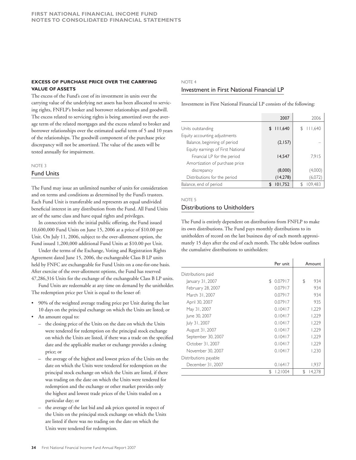## **Excess of purchase price over the carrying value of assets**

The excess of the Fund's cost of its investment in units over the carrying value of the underlying net assets has been allocated to servicing rights, FNFLP's broker and borrower relationships and goodwill. The excess related to servicing rights is being amortized over the average term of the related mortgages and the excess related to broker and borrower relationships over the estimated useful term of 5 and 10 years of the relationships. The goodwill component of the purchase price discrepancy will not be amortized. The value of the assets will be tested annually for impairment.

#### NOTE<sub>3</sub>

## Fund Units

The Fund may issue an unlimited number of units for consideration and on terms and conditions as determined by the Fund's trustees. Each Fund Unit is transferable and represents an equal undivided beneficial interest in any distribution from the Fund. All Fund Units are of the same class and have equal rights and privileges.

In connection with the initial public offering, the Fund issued 10,600,000 Fund Units on June 15, 2006 at a price of \$10.00 per Unit. On July 11, 2006, subject to the over-allotment option, the Fund issued 1,200,000 additional Fund Units at \$10.00 per Unit.

Under the terms of the Exchange, Voting and Registration Rights Agreement dated June 15, 2006, the exchangeable Class B LP units held by FNFC are exchangeable for Fund Units on a one-for-one basis. After exercise of the over-allotment options, the Fund has reserved 47,286,316 Units for the exchange of the exchangeable Class B LP units.

Fund Units are redeemable at any time on demand by the unitholder. The redemption price per Unit is equal to the lesser of:

- • 90% of the weighted average trading price per Unit during the last 10 days on the principal exchange on which the Units are listed; or
- An amount equal to:
	- the closing price of the Units on the date on which the Units were tendered for redemption on the principal stock exchange on which the Units are listed, if there was a trade on the specified date and the applicable market or exchange provides a closing price; or
	- the average of the highest and lowest prices of the Units on the date on which the Units were tendered for redemption on the principal stock exchange on which the Units are listed, if there was trading on the date on which the Units were tendered for redemption and the exchange or other market provides only the highest and lowest trade prices of the Units traded on a particular day; or
	- the average of the last bid and ask prices quoted in respect of the Units on the principal stock exchange on which the Units are listed if there was no trading on the date on which the Units were tendered for redemption.

#### note 4

## Investment in First National Financial LP

Investment in First National Financial LP consists of the following:

|                                   | 2007         | 2006    |
|-----------------------------------|--------------|---------|
| Units outstanding                 | 111.640<br>S | 111.640 |
| Equity accounting adjustments     |              |         |
| Balance, beginning of period      | (2,157)      |         |
| Equity earnings of First National |              |         |
| Financial LP for the period       | 14.547       | 7.915   |
| Amortization of purchase price    |              |         |
| discrepancy                       | (8,000)      | (4,000) |
| Distributions for the period      | (14, 278)    | (6,0/2) |
| Balance, end of period            | 101.752      | 109.483 |

#### NOTE<sub>5</sub>

## Distributions to Unitholders

The Fund is entirely dependent on distributions from FNFLP to make its own distributions. The Fund pays monthly distributions to its unitholders of record on the last business day of each month approximately 15 days after the end of each month. The table below outlines the cumulative distributions to unitholders:

|                       | Per unit       | Amount       |
|-----------------------|----------------|--------------|
| Distributions paid    |                |              |
| January 31, 2007      | 0.07917<br>\$. | \$<br>934    |
| February 28, 2007     | 0.07917        | 934          |
| March 31, 2007        | 0.07917        | 934          |
| April 30, 2007        | 0.07917        | 935          |
| May 31, 2007          | 0.10417        | 1,229        |
| June 30, 2007         | 0.10417        | 1,229        |
| July 31, 2007         | 0.10417        | 1.229        |
| August 31, 2007       | 0.10417        | 1,229        |
| September 30, 2007    | 0.10417        | 1,229        |
| October 31, 2007      | 0.10417        | 1,229        |
| November 30, 2007     | 0.10417        | 1.230        |
| Distributions payable |                |              |
| December 31, 2007     | 0.16417        | 1,937        |
|                       | 1.21004<br>\$  | 14,278<br>\$ |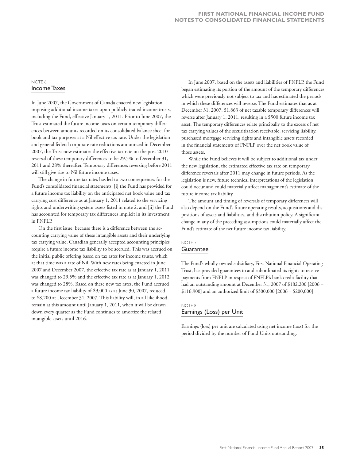## Note 6 Income Taxes

In June 2007, the Government of Canada enacted new legislation imposing additional income taxes upon publicly traded income trusts, including the Fund, effective January 1, 2011. Prior to June 2007, the Trust estimated the future income taxes on certain temporary differences between amounts recorded on its consolidated balance sheet for book and tax purposes at a Nil effective tax rate. Under the legislation and general federal corporate rate reductions announced in December 2007, the Trust now estimates the effective tax rate on the post 2010 reversal of these temporary differences to be 29.5% to December 31, 2011 and 28% thereafter. Temporary differences reversing before 2011 will still give rise to Nil future income taxes.

The change in future tax rates has led to two consequences for the Fund's consolidated financial statements: [i] the Fund has provided for a future income tax liability on the anticipated net book value and tax carrying cost difference as at January 1, 2011 related to the servicing rights and underwriting system assets listed in note 2, and [ii] the Fund has accounted for temporary tax differences implicit in its investment in FNFLP.

On the first issue, because there is a difference between the accounting carrying value of these intangible assets and their underlying tax carrying value, Canadian generally accepted accounting principles require a future income tax liability to be accrued. This was accrued on the initial public offering based on tax rates for income trusts, which at that time was a rate of Nil. With new rates being enacted in June 2007 and December 2007, the effective tax rate as at January 1, 2011 was changed to 29.5% and the effective tax rate as at January 1, 2012 was changed to 28%. Based on these new tax rates, the Fund accrued a future income tax liability of \$9,000 as at June 30, 2007, reduced to \$8,200 at December 31, 2007. This liability will, in all likelihood, remain at this amount until January 1, 2011, when it will be drawn down every quarter as the Fund continues to amortize the related intangible assets until 2016.

In June 2007, based on the assets and liabilities of FNFLP, the Fund began estimating its portion of the amount of the temporary differences which were previously not subject to tax and has estimated the periods in which these differences will reverse. The Fund estimates that as at December 31, 2007, \$1,863 of net taxable temporary differences will reverse after January 1, 2011, resulting in a \$500 future income tax asset. The temporary differences relate principally to the excess of net tax carrying values of the securitization receivable, servicing liability, purchased mortgage servicing rights and intangible assets recorded in the financial statements of FNFLP over the net book value of those assets.

While the Fund believes it will be subject to additional tax under the new legislation, the estimated effective tax rate on temporary difference reversals after 2011 may change in future periods. As the legislation is new, future technical interpretations of the legislation could occur and could materially affect management's estimate of the future income tax liability.

The amount and timing of reversals of temporary differences will also depend on the Fund's future operating results, acquisitions and dispositions of assets and liabilities, and distribution policy. A significant change in any of the preceding assumptions could materially affect the Fund's estimate of the net future income tax liability.

## NOTE<sub>7</sub> **Guarantee**

The Fund's wholly-owned subsidiary, First National Financial Operating Trust, has provided guarantees to and subordinated its rights to receive payments from FNFLP in respect of FNFLP's bank credit facility that had an outstanding amount at December 31, 2007 of \$182,200 [2006 – \$116,900] and an authorized limit of \$300,000 [2006 – \$200,000].

## NOTE 8 Earnings (Loss) per Unit

Earnings (loss) per unit are calculated using net income (loss) for the period divided by the number of Fund Units outstanding.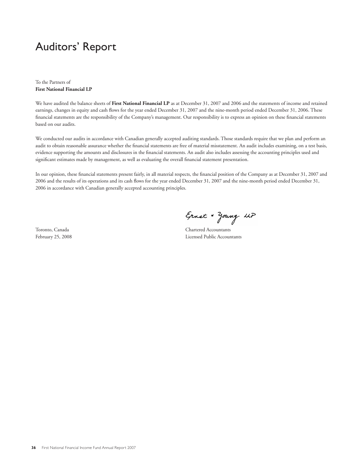# Auditors' Report

To the Partners of **First National Financial LP**

We have audited the balance sheets of **First National Financial LP** as at December 31, 2007 and 2006 and the statements of income and retained earnings, changes in equity and cash flows for the year ended December 31, 2007 and the nine-month period ended December 31, 2006. These financial statements are the responsibility of the Company's management. Our responsibility is to express an opinion on these financial statements based on our audits.

We conducted our audits in accordance with Canadian generally accepted auditing standards. Those standards require that we plan and perform an audit to obtain reasonable assurance whether the financial statements are free of material misstatement. An audit includes examining, on a test basis, evidence supporting the amounts and disclosures in the financial statements. An audit also includes assessing the accounting principles used and significant estimates made by management, as well as evaluating the overall financial statement presentation.

In our opinion, these financial statements present fairly, in all material respects, the financial position of the Company as at December 31, 2007 and 2006 and the results of its operations and its cash flows for the year ended December 31, 2007 and the nine-month period ended December 31, 2006 in accordance with Canadian generally accepted accounting principles.

Ernst & Young LLP

Toronto, Canada Chartered Accountants February 25, 2008 Licensed Public Accountants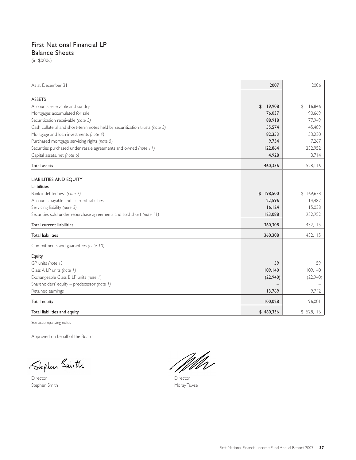# First National Financial LP Balance Sheets

(in \$000s)

| As at December 31                                                           | 2007         | 2006         |
|-----------------------------------------------------------------------------|--------------|--------------|
|                                                                             |              |              |
| <b>ASSETS</b>                                                               |              |              |
| Accounts receivable and sundry                                              | 19,908<br>\$ | 16.846<br>\$ |
| Mortgages accumulated for sale                                              | 76,037       | 90.669       |
| Securitization receivable (note 3)                                          | 88,918       | 77,949       |
| Cash collateral and short-term notes held by securitization trusts (note 3) | 55,574       | 45,489       |
| Mortgage and loan investments (note 4)                                      | 82,353       | 53,230       |
| Purchased mortgage servicing rights (note 5)                                | 9,754        | 7,267        |
| Securities purchased under resale agreements and owned (note 11)            | 122,864      | 232,952      |
| Capital assets, net (note 6)                                                | 4,928        | 3,714        |
| <b>Total assets</b>                                                         | 460,336      | 528,116      |
| <b>LIABILITIES AND EQUITY</b>                                               |              |              |
| Liabilities                                                                 |              |              |
| Bank indebtedness (note 7)                                                  | \$198,500    | \$169,638    |
| Accounts payable and accrued liabilities                                    | 22,596       | 14,487       |
| Servicing liability (note 3)                                                | 16, 124      | 15,038       |
| Securities sold under repurchase agreements and sold short (note 11)        | 123,088      | 232,952      |
| Total current liabilities                                                   | 360,308      | 432, 115     |
| <b>Total liabilities</b>                                                    | 360,308      | 432, 115     |
| Commitments and guarantees (note 10)                                        |              |              |
| Equity                                                                      |              |              |
| GP units (note 1)                                                           | 59           | 59           |
| Class A LP units (note 1)                                                   | 109, 140     | 109, 140     |
| Exchangeable Class B LP units (note 1)                                      | (22,940)     | (22,940)     |
| Shareholders' equity - predecessor (note 1)                                 |              |              |
| Retained earnings                                                           | 13,769       | 9,742        |
| Total equity                                                                | 100,028      | 96,001       |
| Total liabilities and equity                                                | \$460,336    | \$528,116    |

See accompanying notes

Approved on behalf of the Board:

Stephen Smith

Director Director Stephen Smith Moray Tawse

Wh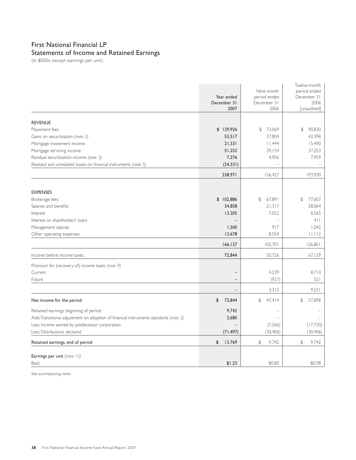# First National Financial LP Statements of Income and Retained Earnings

(in \$000s, except earnings per unit)

|                                                                                      | Year ended<br>December 31<br>2007 | Nine-month<br>period ended<br>December 31<br>2006 | Twelve-month<br>period ended<br>December 31<br>2006<br>[unaudited] |
|--------------------------------------------------------------------------------------|-----------------------------------|---------------------------------------------------|--------------------------------------------------------------------|
|                                                                                      |                                   |                                                   |                                                                    |
| <b>REVENUE</b>                                                                       |                                   |                                                   |                                                                    |
| Placement fees                                                                       | \$129,926                         | 73,069<br>\$                                      | 90,830<br>$\mathfrak{D}$                                           |
| Gains on securitization (note 3)                                                     | 53,517                            | 37,804                                            | 42,398                                                             |
| Mortgage investment income                                                           | 21,331                            | 11,444                                            | 15,490                                                             |
| Mortgage servicing income                                                            | 51,252                            | 29,154                                            | 37,253                                                             |
| Residual securitization income (note 3)                                              | 7,276                             | 4,956                                             | 7,959                                                              |
| Realized and unrealized losses on financial instruments (note 5)                     | (24, 331)                         |                                                   |                                                                    |
|                                                                                      | 238,971                           | 156,427                                           | 193,930                                                            |
|                                                                                      |                                   |                                                   |                                                                    |
| <b>EXPENSES</b>                                                                      |                                   |                                                   |                                                                    |
| Brokerage fees                                                                       | \$102,886                         | 67,891<br>\$                                      | \$<br>77,607                                                       |
| Salaries and benefits                                                                | 34,858                            | 21,317                                            | 28,064                                                             |
| Interest                                                                             | 13,205                            | 7,022                                             | 8,565                                                              |
| Interest on shareholders' loans                                                      |                                   |                                                   | $4$                                                                |
| Management salaries                                                                  | 1,500                             | 917                                               | 1,042                                                              |
| Other operating expenses                                                             | 13,678                            | 8,554                                             | 11,112                                                             |
|                                                                                      | 166, 127                          | 105,701                                           | 126,801                                                            |
| Income before income taxes                                                           | 72,844                            | 50,726                                            | 67,129                                                             |
| Provision for (recovery of) income taxes (note 9)                                    |                                   |                                                   |                                                                    |
| Current                                                                              | $\overline{\phantom{0}}$          | 4,239                                             | 8,710                                                              |
| Future                                                                               |                                   | (927)                                             | 521                                                                |
|                                                                                      |                                   | 3,312                                             | 9,231                                                              |
| Net income for the period                                                            | 72,844<br>\$                      | 47,414<br>$\mathfrak{P}$                          | 57,898<br>\$                                                       |
| Retained earnings, beginning of period                                               | 9,742                             |                                                   |                                                                    |
| Add: Transitional adjustment on adoption of financial instruments standards (note 2) | 2,680                             |                                                   |                                                                    |
| Less: Income earned by predecessor corporation                                       |                                   | (7,266)                                           | (17,750)                                                           |
| Less: Distributions declared                                                         | (71, 497)                         | (30, 406)                                         | (30, 406)                                                          |
| Retained earnings, end of period                                                     | \$<br>13,769                      | \$<br>9,742                                       | $\mathfrak{D}$<br>9,742                                            |
|                                                                                      |                                   |                                                   |                                                                    |
| Earnings per unit (note 15)                                                          |                                   |                                                   |                                                                    |
| <b>Basic</b>                                                                         | \$1.23                            | \$0.80                                            | \$0.98                                                             |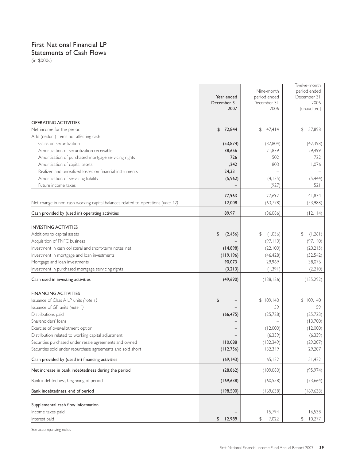# First National Financial LP Statements of Cash Flows

(in \$000s)

|                                                                                 | Year ended<br>December 31<br>2007 | Nine-month<br>period ended<br>December 31<br>2006 | Twelve-month<br>period ended<br>December 31<br>2006<br>[unaudited] |
|---------------------------------------------------------------------------------|-----------------------------------|---------------------------------------------------|--------------------------------------------------------------------|
|                                                                                 |                                   |                                                   |                                                                    |
| <b>OPERATING ACTIVITIES</b>                                                     | 72,844                            | 47,414                                            | 57,898                                                             |
| Net income for the period<br>Add (deduct) items not affecting cash              | \$                                | \$                                                | \$                                                                 |
| Gains on securitization                                                         | (53, 874)                         | (37, 804)                                         | (42, 398)                                                          |
| Amortization of securitization receivable                                       | 38,656                            | 21,839                                            | 29,499                                                             |
| Amortization of purchased mortgage servicing rights                             | 726                               | 502                                               | 722                                                                |
| Amortization of capital assets                                                  | 1,242                             | 803                                               | 1,076                                                              |
| Realized and unrealized losses on financial instruments                         | 24,331                            |                                                   |                                                                    |
| Amortization of servicing liability                                             | (5,962)                           | (4, 135)                                          | (5, 444)                                                           |
| Future income taxes                                                             |                                   | (927)                                             | 521                                                                |
|                                                                                 |                                   |                                                   |                                                                    |
|                                                                                 | 77,963                            | 27.692                                            | 41,874                                                             |
| Net change in non-cash working capital balances related to operations (note 12) | 12,008                            | (63,778)                                          | (53,988)                                                           |
| Cash provided by (used in) operating activities                                 | 89,971                            | (36,086)                                          | (12, 114)                                                          |
|                                                                                 |                                   |                                                   |                                                                    |
| <b>INVESTING ACTIVITIES</b>                                                     |                                   |                                                   |                                                                    |
| Additions to capital assets                                                     | \$<br>(2, 456)                    | (1,036)<br>\$                                     | (1,261)<br>\$                                                      |
| Acquisition of FNFC business                                                    |                                   | (97, 140)                                         | (97, 140)                                                          |
| Investment in cash collateral and short-term notes, net                         | (14,898)                          | (22, 100)                                         | (20,215)                                                           |
| Investment in mortgage and loan investments                                     | (119, 196)                        | (46, 428)                                         | (52, 542)                                                          |
| Mortgage and loan investments                                                   | 90,073                            | 29,969                                            | 38,076                                                             |
| Investment in purchased mortgage servicing rights                               | (3,213)                           | (1, 391)                                          | (2,210)                                                            |
| Cash used in investing activities                                               | (49,690)                          | (138, 126)                                        | (135, 292)                                                         |
| <b>FINANCING ACTIVITIES</b>                                                     |                                   |                                                   |                                                                    |
| Issuance of Class A LP units (note 1)                                           | \$                                | \$109,140                                         | 109, 140<br>\$                                                     |
| Issuance of GP units (note 1)                                                   |                                   | 59                                                | 59                                                                 |
| Distributions paid                                                              | (66, 475)                         | (25, 728)                                         | (25, 728)                                                          |
| Shareholders' loans                                                             |                                   |                                                   | (13,700)                                                           |
| Exercise of over-allotment option                                               |                                   | (12,000)                                          | (12,000)                                                           |
| Distribution related to working capital adjustment                              |                                   | (6, 339)                                          | (6, 339)                                                           |
| Securities purchased under resale agreements and owned                          | 110,088                           | (132, 349)                                        | (29, 207)                                                          |
| Securities sold under repurchase agreements and sold short                      | (112, 756)                        | 132,349                                           | 29,207                                                             |
| Cash provided by (used in) financing activities                                 | (69, 143)                         | 65,132                                            | 51,432                                                             |
|                                                                                 |                                   |                                                   |                                                                    |
| Net increase in bank indebtedness during the period                             | (28, 862)                         | (109,080)                                         | (95, 974)                                                          |
| Bank indebtedness, beginning of period                                          | (169, 638)                        | (60, 558)                                         | (73, 664)                                                          |
| Bank indebtedness, end of period                                                | (198, 500)                        | (169, 638)                                        | (169, 638)                                                         |
| Supplemental cash flow information                                              |                                   |                                                   |                                                                    |
| Income taxes paid                                                               |                                   | 15,794                                            | 16,538                                                             |
| Interest paid                                                                   | 12,989<br>\$                      | 7,022<br>\$                                       | 10,277<br>\$                                                       |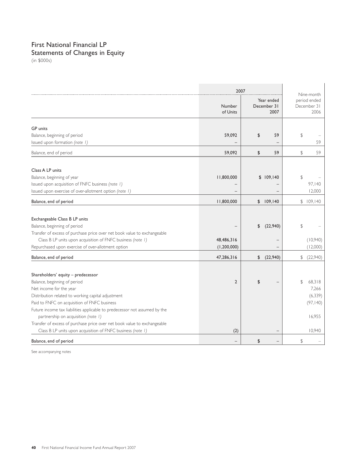# First National Financial LP Statements of Changes in Equity

(in \$000s)

|                                                                                                                                                                                                          |                    | 2007                              |                                                   |  |  |
|----------------------------------------------------------------------------------------------------------------------------------------------------------------------------------------------------------|--------------------|-----------------------------------|---------------------------------------------------|--|--|
|                                                                                                                                                                                                          | Number<br>of Units | Year ended<br>December 31<br>2007 | Nine-month<br>period ended<br>December 31<br>2006 |  |  |
| <b>GP</b> units                                                                                                                                                                                          |                    |                                   |                                                   |  |  |
| Balance, beginning of period                                                                                                                                                                             | 59,092             | \$<br>59                          | \$                                                |  |  |
| Issued upon formation (note 1)                                                                                                                                                                           |                    |                                   | 59                                                |  |  |
| Balance, end of period                                                                                                                                                                                   | 59.092             | \$<br>59                          | P.<br>59                                          |  |  |
| Class A LP units                                                                                                                                                                                         |                    |                                   |                                                   |  |  |
| Balance, beginning of year                                                                                                                                                                               | 11,800,000         | \$109,140                         | $\sqrt{2}$                                        |  |  |
| Issued upon acquisition of FNFC business (note 1)                                                                                                                                                        |                    |                                   | 97,140                                            |  |  |
| Issued upon exercise of over-allotment option (note 1)                                                                                                                                                   |                    |                                   | 12.000                                            |  |  |
| Balance, end of period                                                                                                                                                                                   | 11,800,000         | \$109,140                         | \$109,140                                         |  |  |
| Exchangeable Class B LP units<br>Balance, beginning of period<br>Transfer of excess of purchase price over net book value to exchangeable<br>Class B LP units upon acquisition of FNFC business (note 1) | 48,486,316         | \$<br>(22,940)                    | \$<br>(10,940)                                    |  |  |
| Repurchased upon exercise of over-allotment option                                                                                                                                                       | (1, 200, 000)      |                                   | (12,000)                                          |  |  |
| Balance, end of period                                                                                                                                                                                   | 47,286,316         | \$ (22,940)                       | $\mathbb{S}$<br>(22,940)                          |  |  |
| Shareholders' equity - predecessor                                                                                                                                                                       |                    |                                   |                                                   |  |  |
| Balance, beginning of period                                                                                                                                                                             | $\overline{2}$     | \$                                | 68,318<br>P.                                      |  |  |
| Net income for the year                                                                                                                                                                                  |                    |                                   | 7,266                                             |  |  |
| Distribution related to working capital adjustment                                                                                                                                                       |                    |                                   | (6, 339)                                          |  |  |
| Paid to FNFC on acquisition of FNFC business                                                                                                                                                             |                    |                                   | (97, 140)                                         |  |  |
| Future income tax liabilities applicable to predecessor not assumed by the                                                                                                                               |                    |                                   |                                                   |  |  |
| partnership on acquisition (note 1)                                                                                                                                                                      |                    |                                   | 16,955                                            |  |  |
| Transfer of excess of purchase price over net book value to exchangeable                                                                                                                                 |                    |                                   |                                                   |  |  |
| Class B LP units upon acquisition of FNFC business (note 1)                                                                                                                                              | (2)                |                                   | 10,940                                            |  |  |
| Balance, end of period                                                                                                                                                                                   |                    | \$                                | \$                                                |  |  |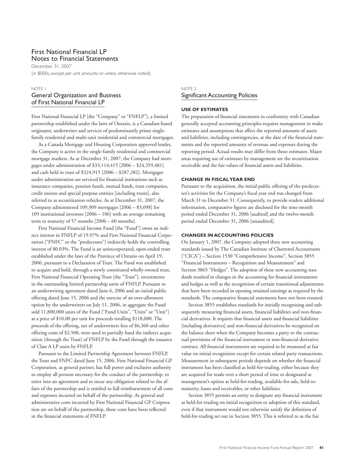## First National Financial LP Notes to Financial Statements

December 31, 2007 (in \$000s, except per unit amounts or unless otherwise noted)

#### NOTE<sub>1</sub>

## General Organization and Business of First National Financial LP

First National Financial LP [the "Company" or "FNFLP"], a limited partnership established under the laws of Ontario, is a Canadian-based originator, underwriter and servicer of predominantly prime singlefamily residential and multi-unit residential and commercial mortgages.

As a Canada Mortgage and Housing Corporation approved lender, the Company is active in the single-family residential and commercial mortgage markets. As at December 31, 2007, the Company had mortgages under administration of \$33,114,415 [2006 – \$24,359,481] and cash held in trust of \$324,915 [2006 – \$287,382]. Mortgages under administration are serviced for financial institutions such as insurance companies, pension funds, mutual funds, trust companies, credit unions and special purpose entities [including trusts], also referred to as securitization vehicles. As at December 31, 2007, the Company administered 109,909 mortgages [2006 – 83,098] for 109 institutional investors [2006 – 106] with an average remaining term to maturity of 57 months [2006 – 60 months].

First National Financial Income Fund [the "Fund"] owns an indirect interest in FNFLP of 19.97% and First National Financial Corporation ["FNFC" or the "predecessor"] indirectly holds the controlling interest of 80.03%. The Fund is an unincorporated, open-ended trust established under the laws of the Province of Ontario on April 19, 2006, pursuant to a Declaration of Trust. The Fund was established to acquire and hold, through a newly constituted wholly-owned trust, First National Financial Operating Trust [the "Trust"], investments in the outstanding limited partnership units of FNFLP. Pursuant to an underwriting agreement dated June 6, 2006 and an initial public offering dated June 15, 2006 and the exercise of an over-allotment option by the underwriters on July 11, 2006, in aggregate the Fund sold 11,800,000 units of the Fund ["Fund Units", "Units" or "Unit"] at a price of \$10.00 per unit for proceeds totalling \$118,000. The proceeds of the offering, net of underwriters fees of \$6,360 and other offering costs of \$2,500, were used to partially fund the indirect acquisition [through the Trust] of FNFLP by the Fund through the issuance of Class A LP units by FNFLP.

Pursuant to the Limited Partnership Agreement between FNFLP, the Trust and FNFC dated June 15, 2006, First National Financial GP Corporation, as general partner, has full power and exclusive authority to employ all persons necessary for the conduct of the partnership, to enter into an agreement and to incur any obligation related to the affairs of the partnership and is entitled to full reimbursement of all costs and expenses incurred on behalf of the partnership. As general and administrative costs incurred by First National Financial GP Corporation are on behalf of the partnership, these costs have been reflected in the financial statements of FNFLP.

## Note 2 Significant Accounting Policies

## **Use of estimates**

The preparation of financial statements in conformity with Canadian generally accepted accounting principles requires management to make estimates and assumptions that affect the reported amounts of assets and liabilities, including contingencies, at the date of the financial statements and the reported amounts of revenue and expenses during the reporting period. Actual results may differ from those estimates. Major areas requiring use of estimates by management are the securitization receivable and the fair values of financial assets and liabilities.

## **Change in fiscal year end**

Pursuant to the acquisition, the initial public offering of the predecessor's activities for the Company's fiscal year end was changed from March 31 to December 31. Consequently, to provide readers additional information, comparative figures are disclosed for the nine-month period ended December 31, 2006 [audited] and the twelve-month period ended December 31, 2006 [unaudited].

#### **Changes in accounting policies**

On January 1, 2007, the Company adopted three new accounting standards issued by The Canadian Institute of Chartered Accountants ["CICA"] – Section 1530 "Comprehensive Income", Section 3855 "Financial Instruments – Recognition and Measurement" and Section 3865 "Hedges". The adoption of these new accounting standards resulted in changes in the accounting for financial instruments and hedges as well as the recognition of certain transitional adjustments that have been recorded in opening retained earnings as required by the standards. The comparative financial statements have not been restated.

Section 3855 establishes standards for initially recognizing and subsequently measuring financial assets, financial liabilities and non-financial derivatives. It requires that financial assets and financial liabilities [including derivatives] and non-financial derivatives be recognized on the balance sheet when the Company becomes a party to the contractual provisions of the financial instrument or non-financial derivative contract. All financial instruments are required to be measured at fair value on initial recognition except for certain related party transactions. Measurement in subsequent periods depends on whether the financial instrument has been classified as held-for-trading, either because they are acquired for resale over a short period of time or designated at management's option as held-for-trading, available-for-sale, held-tomaturity, loans and receivables, or other liabilities.

Section 3855 permits an entity to designate any financial instrument as held-for-trading on initial recognition or adoption of this standard, even if that instrument would not otherwise satisfy the definition of held-for-trading set out in Section 3855. This is referred to as the fair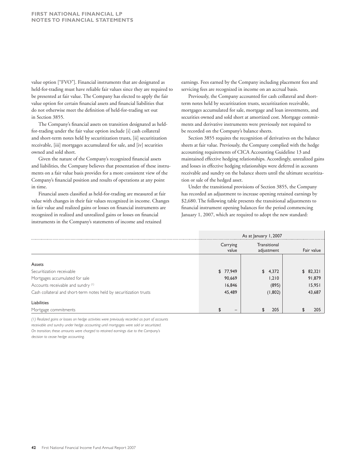value option ["FVO"]. Financial instruments that are designated as held-for-trading must have reliable fair values since they are required to be presented at fair value. The Company has elected to apply the fair value option for certain financial assets and financial liabilities that do not otherwise meet the definition of held-for-trading set out in Section 3855.

The Company's financial assets on transition designated as heldfor-trading under the fair value option include [i] cash collateral and short-term notes held by securitization trusts, [ii] securitization receivable, [iii] mortgages accumulated for sale, and [iv] securities owned and sold short.

Given the nature of the Company's recognized financial assets and liabilities, the Company believes that presentation of these instruments on a fair value basis provides for a more consistent view of the Company's financial position and results of operations at any point in time.

Financial assets classified as held-for-trading are measured at fair value with changes in their fair values recognized in income. Changes in fair value and realized gains or losses on financial instruments are recognized in realized and unrealized gains or losses on financial instruments in the Company's statements of income and retained

earnings. Fees earned by the Company including placement fees and servicing fees are recognized in income on an accrual basis.

Previously, the Company accounted for cash collateral and shortterm notes held by securitization trusts, securitization receivable, mortgages accumulated for sale, mortgage and loan investments, and securities owned and sold short at amortized cost. Mortgage commitments and derivative instruments were previously not required to be recorded on the Company's balance sheets.

Section 3855 requires the recognition of derivatives on the balance sheets at fair value. Previously, the Company complied with the hedge accounting requirements of CICA Accounting Guideline 13 and maintained effective hedging relationships. Accordingly, unrealized gains and losses in effective hedging relationships were deferred in accounts receivable and sundry on the balance sheets until the ultimate securitization or sale of the hedged asset.

Under the transitional provisions of Section 3855, the Company has recorded an adjustment to increase opening retained earnings by \$2,680. The following table presents the transitional adjustments to financial instrument opening balances for the period commencing January 1, 2007, which are required to adopt the new standard:

|                                                                    | As at January 1, 2007                           |             |            |  |  |
|--------------------------------------------------------------------|-------------------------------------------------|-------------|------------|--|--|
|                                                                    | Transitional<br>Carrying<br>value<br>adjustment |             | Fair value |  |  |
|                                                                    |                                                 |             |            |  |  |
| Assets                                                             |                                                 |             |            |  |  |
| Securitization receivable                                          | \$77,949                                        | 4,372<br>\$ | 82,321     |  |  |
| Mortgages accumulated for sale                                     | 90,669                                          | 1,210       | 91,879     |  |  |
| Accounts receivable and sundry (1)                                 | 16,846                                          | (895)       | 15,951     |  |  |
| Cash collateral and short-term notes held by securitization trusts | 45,489                                          | (1,802)     | 43,687     |  |  |
| Liabilities                                                        |                                                 |             |            |  |  |
| Mortgage commitments                                               |                                                 | 205         | 205        |  |  |

*(1) Realized gains or losses on hedge activities were previously recorded as part of accounts* 

*receivable and sundry under hedge accounting until mortgages were sold or securitized. On transition, these amounts were charged to retained earnings due to the Company's decision to cease hedge accounting.*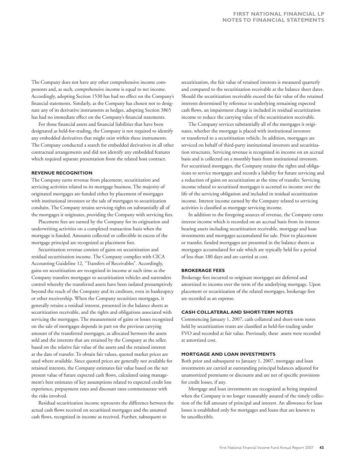The Company does not have any other comprehensive income components and, as such, comprehensive income is equal to net income. Accordingly, adopting Section 1530 has had no effect on the Company's financial statements. Similarly, as the Company has chosen not to designate any of its derivative instruments as hedges, adopting Section 3865 has had no immediate effect on the Company's financial statements.

For those financial assets and financial liabilities that have been designated as held-for-trading, the Company is not required to identify any embedded derivatives that might exist within these instruments. The Company conducted a search for embedded derivatives in all other contractual arrangements and did not identify any embedded features which required separate presentation from the related host contract.

#### **Revenue recognition**

The Company earns revenue from placement, securitization and servicing activities related to its mortgage business. The majority of originated mortgages are funded either by placement of mortgages with institutional investors or the sale of mortgages to securitization conduits. The Company retains servicing rights on substantially all of the mortgages it originates, providing the Company with servicing fees.

Placement fees are earned by the Company for its origination and underwriting activities on a completed transaction basis when the mortgage is funded. Amounts collected or collectible in excess of the mortgage principal are recognized as placement fees.

Securitization revenue consists of gains on securitization and residual securitization income. The Company complies with CICA Accounting Guideline 12, "Transfers of Receivables". Accordingly, gains on securitization are recognized in income at such time as the Company transfers mortgages to securitization vehicles and surrenders control whereby the transferred assets have been isolated presumptively beyond the reach of the Company and its creditors, even in bankruptcy or other receivership. When the Company securitizes mortgages, it generally retains a residual interest, presented in the balance sheets as securitization receivable, and the rights and obligations associated with servicing the mortgages. The measurement of gains or losses recognized on the sale of mortgages depends in part on the previous carrying amount of the transferred mortgages, as allocated between the assets sold and the interests that are retained by the Company as the seller, based on the relative fair value of the assets and the retained interest at the date of transfer. To obtain fair values, quoted market prices are used where available. Since quoted prices are generally not available for retained interests, the Company estimates fair value based on the net present value of future expected cash flows, calculated using management's best estimates of key assumptions related to expected credit loss experience, prepayment rates and discount rates commensurate with the risks involved.

Residual securitization income represents the difference between the actual cash flows received on securitized mortgages and the assumed cash flows, recognized in income as received. Further, subsequent to

securitization, the fair value of retained interests is measured quarterly and compared to the securitization receivable at the balance sheet dates. Should the securitization receivable exceed the fair value of the retained interests determined by reference to underlying remaining expected cash flows, an impairment charge is included in residual securitization income to reduce the carrying value of the securitization receivable.

The Company services substantially all of the mortgages it originates, whether the mortgage is placed with institutional investors or transferred to a securitization vehicle. In addition, mortgages are serviced on behalf of third-party institutional investors and securitization structures. Servicing revenue is recognized in income on an accrual basis and is collected on a monthly basis from institutional investors. For securitized mortgages, the Company retains the rights and obligations to service mortgages and records a liability for future servicing and a reduction of gains on securitization at the time of transfer. Servicing income related to securitized mortgages is accreted to income over the life of the servicing obligation and included in residual securitization income. Interest income earned by the Company related to servicing activities is classified as mortgage servicing income.

In addition to the foregoing sources of revenue, the Company earns interest income which is recorded on an accrual basis from its interest bearing assets including securitization receivable, mortgage and loan investments and mortgages accumulated for sale. Prior to placement or transfer, funded mortgages are presented in the balance sheets as mortgages accumulated for sale which are typically held for a period of less than 180 days and are carried at cost.

## **Brokerage fees**

Brokerage fees incurred to originate mortgages are deferred and amortized to income over the term of the underlying mortgage. Upon placement or securitization of the related mortgages, brokerage fees are recorded as an expense.

## **Cash collateral and short-term notes**

Commencing January 1, 2007, cash collateral and short-term notes held by securitization trusts are classified as held-for-trading under FVO and recorded at fair value. Previously, these assets were recorded at amortized cost.

#### **Mortgage and loan investments**

Both prior and subsequent to January 1, 2007, mortgage and loan investments are carried at outstanding principal balances adjusted for unamortized premiums or discounts and are net of specific provisions for credit losses, if any.

Mortgage and loan investments are recognized as being impaired when the Company is no longer reasonably assured of the timely collection of the full amount of principal and interest. An allowance for loan losses is established only for mortgages and loans that are known to be uncollectible.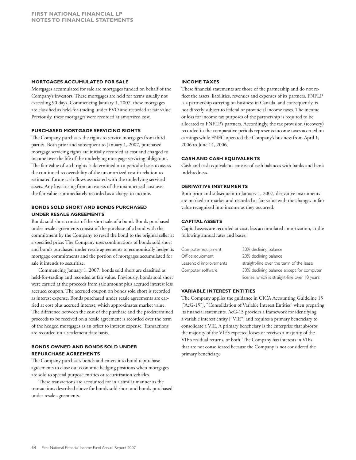### **Mortgages accumulated for sale**

Mortgages accumulated for sale are mortgages funded on behalf of the Company's investors. These mortgages are held for terms usually not exceeding 90 days. Commencing January 1, 2007, these mortgages are classified as held-for-trading under FVO and recorded at fair value. Previously, these mortgages were recorded at amortized cost.

#### **Purchased mortgage servicing rights**

The Company purchases the rights to service mortgages from third parties. Both prior and subsequent to January 1, 2007, purchased mortgage servicing rights are initially recorded at cost and charged to income over the life of the underlying mortgage servicing obligation. The fair value of such rights is determined on a periodic basis to assess the continued recoverability of the unamortized cost in relation to estimated future cash flows associated with the underlying serviced assets. Any loss arising from an excess of the unamortized cost over the fair value is immediately recorded as a charge to income.

## **Bonds sold short and bonds purchased under resale agreements**

Bonds sold short consist of the short sale of a bond. Bonds purchased under resale agreements consist of the purchase of a bond with the commitment by the Company to resell the bond to the original seller at a specified price. The Company uses combinations of bonds sold short and bonds purchased under resale agreements to economically hedge its mortgage commitments and the portion of mortgages accumulated for sale it intends to securitize.

Commencing January 1, 2007, bonds sold short are classified as held-for-trading and recorded at fair value. Previously, bonds sold short were carried at the proceeds from sale amount plus accrued interest less accrued coupon. The accrued coupon on bonds sold short is recorded as interest expense. Bonds purchased under resale agreements are carried at cost plus accrued interest, which approximates market value. The difference between the cost of the purchase and the predetermined proceeds to be received on a resale agreement is recorded over the term of the hedged mortgages as an offset to interest expense. Transactions are recorded on a settlement date basis.

## **Bonds owned and bonds sold under repurchase agreements**

The Company purchases bonds and enters into bond repurchase agreements to close out economic hedging positions when mortgages are sold to special purpose entities or securitization vehicles.

These transactions are accounted for in a similar manner as the transactions described above for bonds sold short and bonds purchased under resale agreements.

### **Income taxes**

These financial statements are those of the partnership and do not reflect the assets, liabilities, revenues and expenses of its partners. FNFLP is a partnership carrying on business in Canada, and consequently, is not directly subject to federal or provincial income taxes. The income or loss for income tax purposes of the partnership is required to be allocated to FNFLP's partners. Accordingly, the tax provision (recovery) recorded in the comparative periods represents income taxes accrued on earnings while FNFC operated the Company's business from April 1, 2006 to June 14, 2006.

#### **Cash and cash equivalents**

Cash and cash equivalents consist of cash balances with banks and bank indebtedness.

#### **Derivative instruments**

Both prior and subsequent to January 1, 2007, derivative instruments are marked-to-market and recorded at fair value with the changes in fair value recognized into income as they occurred.

## **Capital assets**

Capital assets are recorded at cost, less accumulated amortization, at the following annual rates and bases:

| Computer equipment     | 30% declining balance                         |
|------------------------|-----------------------------------------------|
| Office equipment       | 20% declining balance                         |
| Leasehold improvements | straight-line over the term of the lease      |
| Computer software      | 30% declining balance except for computer     |
|                        | license, which is straight-line over 10 years |

#### **Variable interest entities**

The Company applies the guidance in CICA Accounting Guideline 15 ["AcG-15"], "Consolidation of Variable Interest Entities" when preparing its financial statements. AcG-15 provides a framework for identifying a variable interest entity ["VIE"] and requires a primary beneficiary to consolidate a VIE. A primary beneficiary is the enterprise that absorbs the majority of the VIE's expected losses or receives a majority of the VIE's residual returns, or both. The Company has interests in VIEs that are not consolidated because the Company is not considered the primary beneficiary.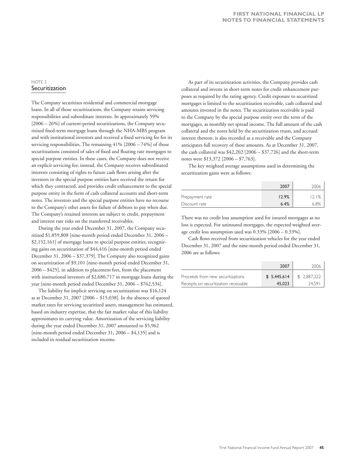## Note 3 Securitization

The Company securitizes residential and commercial mortgage loans. In all of those securitizations, the Company retains servicing responsibilities and subordinate interests. In approximately 59% [2006 – 26%] of current-period securitizations, the Company securitized fixed-term mortgage loans through the NHA-MBS program and with institutional investors and received a fixed servicing fee for its servicing responsibilities. The remaining 41% [2006 – 74%] of those securitizations consisted of sales of fixed and floating rate mortgages to special purpose entities. In these cases, the Company does not receive an explicit servicing fee; instead, the Company receives subordinated interests consisting of rights to future cash flows arising after the investors in the special purpose entities have received the return for which they contracted, and provides credit enhancement to the special purpose entity in the form of cash collateral accounts and short-term notes. The investors and the special purpose entities have no recourse to the Company's other assets for failure of debtors to pay when due. The Company's retained interests are subject to credit, prepayment and interest rate risks on the transferred receivables.

During the year ended December 31, 2007, the Company securitized \$1,859,808 [nine-month period ended December 31, 2006 – \$2,152,161] of mortgage loans to special purpose entities, recognizing gains on securitization of \$44,416 [nine-month period ended December 31, 2006 – \$37,379]. The Company also recognized gains on securitization of \$9,101 [nine-month period ended December 31, 2006 – \$425], in addition to placement fees, from the placement with institutional investors of \$2,680,717 in mortgage loans during the year [nine-month period ended December 31, 2006 – \$762,534].

The liability for implicit servicing on securitization was \$16,124 as at December 31, 2007 [2006 – \$15,038]. In the absence of quoted market rates for servicing securitized assets, management has estimated, based on industry expertise, that the fair market value of this liability approximates its carrying value. Amortization of the servicing liability during the year ended December 31, 2007 amounted to \$5,962 [nine-month period ended December 31, 2006 – \$4,135] and is included in residual securitization income.

As part of its securitization activities, the Company provides cash collateral and invests in short-term notes for credit enhancement purposes as required by the rating agency. Credit exposure to securitized mortgages is limited to the securitization receivable, cash collateral and amounts invested in the notes. The securitization receivable is paid to the Company by the special purpose entity over the term of the mortgages, as monthly net spread income. The full amount of the cash collateral and the notes held by the securitization trusts, and accrued interest thereon, is also recorded as a receivable and the Company anticipates full recovery of these amounts. As at December 31, 2007, the cash collateral was \$42,202 [2006 – \$37,726] and the short-term notes were \$13,372 [2006 – \$7,763].

The key weighted average assumptions used in determining the securitization gains were as follows:

|                 | 2007  | 2006  |
|-----------------|-------|-------|
| Prepayment rate | 12.9% | 12.1% |
| Discount rate   | 6.4%  | 6.8%  |

There was no credit loss assumption used for insured mortgages as no loss is expected. For uninsured mortgages, the expected weighted average credit loss assumption used was 0.33% [2006 – 0.33%].

Cash flows received from securitization vehicles for the year ended December 31, 2007 and the nine-month period ended December 31, 2006 are as follows:

|                                       | 2007        | 2006        |
|---------------------------------------|-------------|-------------|
| Proceeds from new securitizations     | \$5,445,614 | \$2.887.222 |
| Receipts on securitization receivable | 45,023      | 24.591      |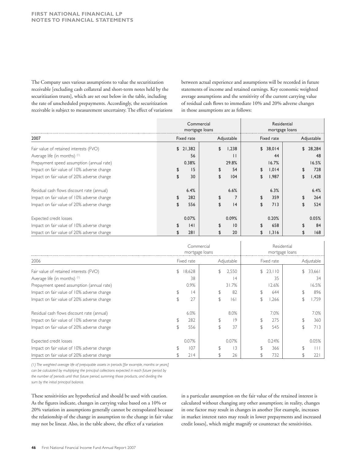The Company uses various assumptions to value the securitization receivable [excluding cash collateral and short-term notes held by the securitization trusts], which are set out below in the table, including the rate of unscheduled prepayments. Accordingly, the securitization receivable is subject to measurement uncertainty. The effect of variations between actual experience and assumptions will be recorded in future statements of income and retained earnings. Key economic weighted average assumptions and the sensitivity of the current carrying value of residual cash flows to immediate 10% and 20% adverse changes in those assumptions are as follows:

|                                            | Commercial<br>mortgage loans |            |    |                | Residential<br>mortgage loans |            |    |            |  |
|--------------------------------------------|------------------------------|------------|----|----------------|-------------------------------|------------|----|------------|--|
| 2007                                       |                              | Fixed rate |    | Adjustable     |                               | Fixed rate |    | Adjustable |  |
| Fair value of retained interests (FVO)     | \$                           | 21,382     | \$ | 1,238          | \$                            | 38,014     | \$ | 28,284     |  |
| Average life (in months) (1)               |                              | 56         |    | Ш              |                               | 44         |    | 48         |  |
| Prepayment speed assumption (annual rate)  |                              | 0.38%      |    | 29.8%          |                               | 16.7%      |    | 16.5%      |  |
| Impact on fair value of 10% adverse change | \$                           | 15         | \$ | 54             | \$                            | 1,014      | \$ | 728        |  |
| Impact on fair value of 20% adverse change | \$                           | 30         | \$ | 104            | \$                            | 1,987      | \$ | 1,428      |  |
| Residual cash flows discount rate (annual) |                              | 6.4%       |    | 6.6%           |                               | 6.3%       |    | 6.4%       |  |
| Impact on fair value of 10% adverse change | \$                           | 282        | \$ | 7              | \$                            | 359        | \$ | 264        |  |
| Impact on fair value of 20% adverse change | \$                           | 556        | \$ | 4              | \$                            | 713        | \$ | 524        |  |
| Expected credit losses                     |                              | 0.07%      |    | 0.09%          |                               | 0.20%      |    | 0.05%      |  |
| Impact on fair value of 10% adverse change | \$                           | 4          |    | $\overline{0}$ | \$                            | 658        | \$ | 84         |  |
| Impact on fair value of 20% adverse change | \$                           | 281        | \$ | 20             | \$                            | 1,316      | \$ | 168        |  |

|                                            | Commercial<br>mortgage loans |    |            |     | Residential<br>mortgage loans |    |            |  |
|--------------------------------------------|------------------------------|----|------------|-----|-------------------------------|----|------------|--|
| 2006                                       | Fixed rate                   |    | Adjustable |     | Fixed rate                    |    | Adjustable |  |
| Fair value of retained interests (FVO)     | \$<br>18,628                 |    | 2,550      | \$. | 23.110                        | \$ | 33,661     |  |
| Average life (in months) (1)               | 38                           |    | 14         |     | 35                            |    | 34         |  |
| Prepayment speed assumption (annual rate)  | 0.9%                         |    | 31.7%      |     | 12.6%                         |    | 6.5%       |  |
| Impact on fair value of 10% adverse change | 4                            |    | 82         |     | 644                           |    | 896        |  |
| Impact on fair value of 20% adverse change | 27                           | \$ | 161        |     | ,266                          |    | .759       |  |
| Residual cash flows discount rate (annual) | 6.0%                         |    | 8.0%       |     | 7.0%                          |    | 7.0%       |  |
| Impact on fair value of 10% adverse change | 282                          |    | 19         |     | 275                           |    | 360        |  |
| Impact on fair value of 20% adverse change | 556                          |    | 37         |     | 545                           |    | 713        |  |
| Expected credit losses                     | 0.07%                        |    | 0.07%      |     | 0.24%                         |    | 0.05%      |  |
| Impact on fair value of 10% adverse change | 107                          |    | 13         |     | 366                           |    |            |  |
| Impact on fair value of 20% adverse change | 214                          |    | 26         |     | 732                           |    |            |  |

*(1) The weighted average life of prepayable assets in periods [for example, months or years] can be calculated by multiplying the principal collections expected in each future period by the number of periods until that future period, summing those products, and dividing the sum by the initial principal balance.*

These sensitivities are hypothetical and should be used with caution. As the figures indicate, changes in carrying value based on a 10% or 20% variation in assumptions generally cannot be extrapolated because the relationship of the change in assumption to the change in fair value may not be linear. Also, in the table above, the effect of a variation

in a particular assumption on the fair value of the retained interest is calculated without changing any other assumption; in reality, changes in one factor may result in changes in another [for example, increases in market interest rates may result in lower prepayments and increased credit losses], which might magnify or counteract the sensitivities.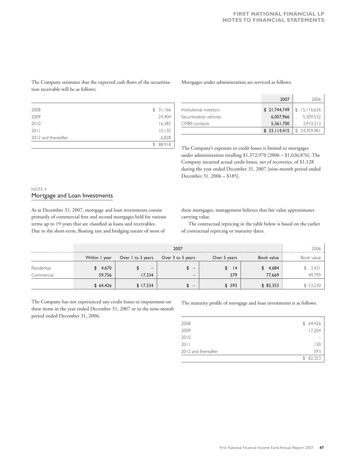The Company estimates that the expected cash flows of the securitization receivable will be as follows:

2008 \$ 31,166 2009 24,404 2010 16,385 2011 10,135

2012 and thereafter 6,828

#### Mortgages under administration are serviced as follows:

|                         | 2007         | 2006         |
|-------------------------|--------------|--------------|
| Institutional investors | \$21,744,749 | \$15.116.636 |
| Securitization vehicles | 6,007,966    | 5.309.532    |
| CMBS conduits           | 5,361,700    | 3.933.313    |
|                         | \$33.114.415 | \$24.359.48  |

The Company's exposure to credit losses is limited to mortgages under administration totalling \$1,372,970 [2006 – \$1,026,876]. The Company incurred actual credit losses, net of recoveries, of \$1,128 during the year ended December 31, 2007 [nine-month period ended December 31, 2006 – \$185].

## NOTE<sub>4</sub> Mortgage and Loan Investments

As at December 31, 2007, mortgage and loan investments consist primarily of commercial first and second mortgages held for various terms up to 19 years that are classified as loans and receivables. Due to the short-term, floating rate and bridging nature of most of

these mortgages, management believes that fair value approximates carrying value.

The contractual repricing in the table below is based on the earlier of contractual repricing or maturity dates.

| 2007        |               |                          |                                      |              |            |            |
|-------------|---------------|--------------------------|--------------------------------------|--------------|------------|------------|
|             | Within I year | Over 1 to 3 years        | Over 3 to 5 years                    | Over 5 years | Book value | Book value |
| Residential | 4.670         | $\overline{\phantom{m}}$ | $\overline{\phantom{0}}$             | 4            | 4,684      | \$3,431    |
| Commercial  | 59.756        | 17,334                   | $\overline{\phantom{m}}$             | 579          | 77,669     | 49.799     |
|             | \$64,426      | \$17,334                 | $\overline{\phantom{0}}$<br><b>D</b> | \$593        | \$82,353   | \$3,230    |

 $38,918$ 

The Company has not experienced any credit losses or impairment on these items in the year ended December 31, 2007 or in the nine-month period ended December 31, 2006.

The maturity profile of mortgage and loan investments is as follows:

| 2008                | \$<br>64,426 |
|---------------------|--------------|
| 2009                | 17,204       |
| 2010                |              |
| 2011                | 130          |
| 2012 and thereafter | 593          |
|                     | 82,353       |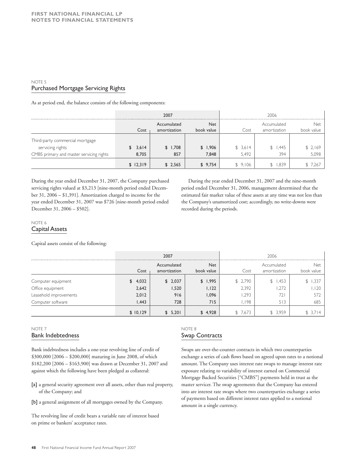## Note 5 Purchased Mortgage Servicing Rights

As at period end, the balance consists of the following components:

|                                                     | 2007     |                             |                          | 2006    |                             |                   |  |
|-----------------------------------------------------|----------|-----------------------------|--------------------------|---------|-----------------------------|-------------------|--|
|                                                     | Cost     | Accumulated<br>amortization | <b>Net</b><br>book value | Cost    | Accumulated<br>amortization | Net<br>book value |  |
| Third-party commercial mortgage<br>servicing rights | 3,614    | \$1,708                     | \$1,906                  | \$3,614 | .445                        | \$2,169           |  |
| CMBS primary and master servicing rights            | 8,705    | 857                         | 7,848                    | 5.492   | 394                         | 5,098             |  |
|                                                     | \$12,319 | \$2,565                     | \$9,754                  | \$9.106 | .839                        |                   |  |

During the year ended December 31, 2007, the Company purchased servicing rights valued at \$3,213 [nine-month period ended December 31, 2006 – \$1,391]. Amortization charged to income for the year ended December 31, 2007 was \$726 [nine-month period ended December 31, 2006 – \$502].

During the year ended December 31, 2007 and the nine-month period ended December 31, 2006, management determined that the estimated fair market value of these assets at any time was not less than the Company's unamortized cost; accordingly, no write-downs were recorded during the periods.

## NOTE 6 Capital Assets

Capital assets consist of the following:

|                        |          | 2007                        |                          |         | 2006                        |                   |
|------------------------|----------|-----------------------------|--------------------------|---------|-----------------------------|-------------------|
|                        | Cost     | Accumulated<br>amortization | <b>Net</b><br>book value | Cost    | Accumulated<br>amortization | Net<br>book value |
| Computer equipment     | 4,032    | \$2,037                     | \$1,995                  | \$2,790 | l.453                       | ,337              |
| Office equipment       | 2,642    | 1.520                       | 1,122                    | 2,392   | ,272                        | .120              |
| Leasehold improvements | 2,012    | 916                         | 1,096                    | 1.293   | 721                         | 572               |
| Computer software      | 1,443    | 728                         | 715                      | I.I98   | 513                         | 685               |
|                        | \$10,129 | \$5,201                     | \$4,928                  | \$7,673 | \$3,959                     |                   |

## NOTE<sub>7</sub> Bank Indebtedness

Bank indebtedness includes a one-year revolving line of credit of \$300,000 [2006 – \$200,000] maturing in June 2008, of which \$182,200 [2006 – \$163,900] was drawn at December 31, 2007 and against which the following have been pledged as collateral:

- [a] a general security agreement over all assets, other than real property, of the Company; and
- [b] a general assignment of all mortgages owned by the Company.

The revolving line of credit bears a variable rate of interest based on prime or bankers' acceptance rates.

## NOTE 8 Swap Contracts

Swaps are over-the-counter contracts in which two counterparties exchange a series of cash flows based on agreed upon rates to a notional amount. The Company uses interest rate swaps to manage interest rate exposure relating to variability of interest earned on Commercial Mortgage Backed Securities ["CMBS"] payments held in trust as the master servicer. The swap agreements that the Company has entered into are interest rate swaps where two counterparties exchange a series of payments based on different interest rates applied to a notional amount in a single currency.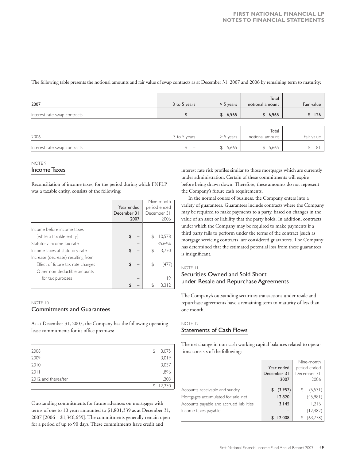| 2007                         | 3 to 5 years           | $> 5$ years | Total<br>notional amount | Fair value |
|------------------------------|------------------------|-------------|--------------------------|------------|
| Interest rate swap contracts | \$                     | \$6,965     | \$6,965                  | 126<br>\$  |
|                              |                        |             |                          |            |
| 2006                         | 3 to 5 years           | $> 5$ years | Total<br>notional amount | Fair value |
| Interest rate swap contracts | \$<br>$\hspace{0.1mm}$ | \$5,665     | \$5,665                  | 81<br>\$   |

The following table presents the notional amounts and fair value of swap contracts as at December 31, 2007 and 2006 by remaining term to maturity:

#### NOTE<sub>9</sub> Income Taxes

Reconciliation of income taxes, for the period during which FNFLP was a taxable entity, consists of the following:

|                                    | Year ended<br>December 31 | 2007 | Nine-month<br>period ended<br>December 31<br>2006 |        |  |
|------------------------------------|---------------------------|------|---------------------------------------------------|--------|--|
| Income before income taxes         |                           |      |                                                   |        |  |
| [while a taxable entity]           | \$                        |      |                                                   | 10,578 |  |
| Statutory income tax rate          |                           |      |                                                   | 35.64% |  |
| Income taxes at statutory rate     | ፍ                         |      | \$                                                | 3.770  |  |
| Increase (decrease) resulting from |                           |      |                                                   |        |  |
| Effect of future tax rate changes  | \$                        |      | \$                                                |        |  |
| Other non-deductible amounts       |                           |      |                                                   |        |  |
| for tax purposes                   |                           |      |                                                   | 19     |  |
|                                    |                           |      |                                                   | 3.312  |  |

## Note 10 Commitments and Guarantees

As at December 31, 2007, the Company has the following operating lease commitments for its office premises:

| 2008                | S   | 3,075  |
|---------------------|-----|--------|
| 2009                |     | 3,019  |
| 2010                |     | 3,037  |
| 2011                |     | 1,896  |
| 2012 and thereafter |     | 1,203  |
|                     | \$. | 12,230 |

Outstanding commitments for future advances on mortgages with terms of one to 10 years amounted to \$1,801,339 as at December 31, 2007 [2006 – \$1,346,659]. The commitments generally remain open for a period of up to 90 days. These commitments have credit and

interest rate risk profiles similar to those mortgages which are currently under administration. Certain of these commitments will expire before being drawn down. Therefore, these amounts do not represent the Company's future cash requirements.

In the normal course of business, the Company enters into a variety of guarantees. Guarantees include contracts where the Company may be required to make payments to a party, based on changes in the value of an asset or liability that the party holds. In addition, contracts under which the Company may be required to make payments if a third party fails to perform under the terms of the contract [such as mortgage servicing contracts] are considered guarantees. The Company has determined that the estimated potential loss from these guarantees is insignificant.

## Note 11

## Securities Owned and Sold Short under Resale and Repurchase Agreements

The Company's outstanding securities transactions under resale and repurchase agreements have a remaining term to maturity of less than one month.

## NOTE<sub>12</sub> Statements of Cash Flows

The net change in non-cash working capital balances related to operations consists of the following:

|                                          |                            | Nine-month    |
|------------------------------------------|----------------------------|---------------|
|                                          | period ended<br>Year ended |               |
|                                          | December 31<br>December 31 |               |
|                                          | 2007                       | 2006          |
| Accounts receivable and sundry           | \$ (3,957)                 | (6,531)<br>\$ |
| Mortgages accumulated for sale, net      | 12,820                     | (45,981)      |
| Accounts payable and accrued liabilities | 3,145                      | 1.216         |
| Income taxes payable                     |                            | (12, 482)     |
|                                          | 12.008                     | (63,778)      |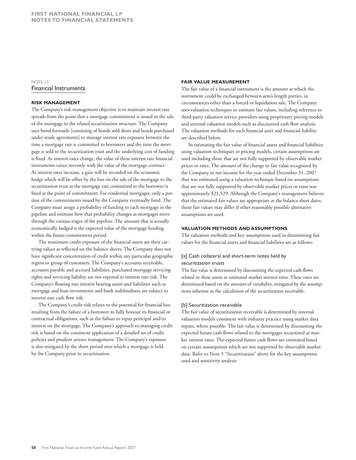## Note 13 Financial Instruments

## **Risk management**

The Company's risk management objective is to maintain interest rate spreads from the point that a mortgage commitment is issued to the sale of the mortgage to the related securitization structure. The Company uses bond forwards [consisting of bonds sold short and bonds purchased under resale agreements] to manage interest rate exposure between the time a mortgage rate is committed to borrowers and the time the mortgage is sold to the securitization trust and the underlying cost of funding is fixed. As interest rates change, the value of these interest rate financial instruments varies inversely with the value of the mortgage contract. As interest rates increase, a gain will be recorded on the economic hedge which will be offset by the loss on the sale of the mortgage to the securitization trust as the mortgage rate committed to the borrower is fixed at the point of commitment. For residential mortgages, only a portion of the commitments issued by the Company eventually fund. The Company must assign a probability of funding to each mortgage in the pipeline and estimate how that probability changes as mortgages move through the various stages of the pipeline. The amount that is actually economically hedged is the expected value of the mortgage funding within the future commitment period.

The maximum credit exposure of the financial assets are their carrying values as reflected on the balance sheets. The Company does not have significant concentration of credit within any particular geographic region or group of customers. The Company's accounts receivable, accounts payable and accrued liabilities, purchased mortgage servicing rights and servicing liability are not exposed to interest rate risk. The Company's floating rate interest bearing assets and liabilities such as mortgage and loan investments and bank indebtedness are subject to interest rate cash flow risk.

The Company's credit risk relates to the potential for financial loss resulting from the failure of a borrower to fully honour its financial or contractual obligations, such as the failure to repay principal and/or interest on the mortgage. The Company's approach to managing credit risk is based on the consistent application of a detailed set of credit policies and prudent arrears management. The Company's exposure is also mitigated by the short period over which a mortgage is held by the Company prior to securitization.

#### **Fair value measurement**

The fair value of a financial instrument is the amount at which the instrument could be exchanged between arm's-length parties, in circumstances other than a forced or liquidation sale. The Company uses valuation techniques to estimate fair values, including reference to third-party valuation service providers using proprietary pricing models and internal valuation models such as discounted cash flow analysis. The valuation methods for each financial asset and financial liability are described below.

In estimating the fair value of financial assets and financial liabilities using valuation techniques or pricing models, certain assumptions are used including those that are not fully supported by observable market prices or rates. The amount of the change in fair value recognized by the Company in net income for the year ended December 31, 2007 that was estimated using a valuation technique based on assumptions that are not fully supported by observable market prices or rates was approximately \$21,529. Although the Company's management believes that the estimated fair values are appropriate at the balance sheet dates, those fair values may differ if other reasonably possible alternative assumptions are used.

## **Valuation methods and assumptions**

The valuation methods and key assumptions used in determining fair values for the financial assets and financial liabilities are as follows:

## [a] Cash collateral and short-term notes held by securitization trusts

The fair value is determined by discounting the expected cash flows related to these assets at estimated market interest rates. These rates are determined based on the amount of variability, mitigated by the assumptions inherent in the calculation of the securitization receivable.

#### [b] Securitization receivable

The fair value of securitization receivable is determined by internal valuation models consistent with industry practice using market data inputs, where possible. The fair value is determined by discounting the expected future cash flows related to the mortgages securitized at market interest rates. The expected future cash flows are estimated based on certain assumptions which are not supported by observable market data. Refer to Note 3 "Securitization" above for the key assumptions used and sensitivity analysis.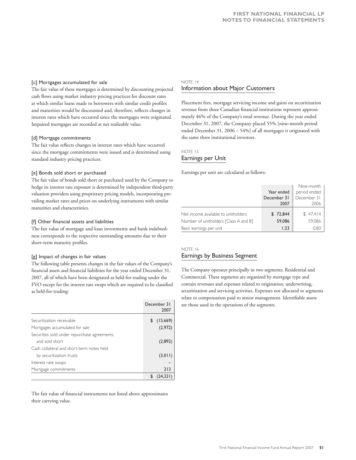## [c] Mortgages accumulated for sale

The fair value of these mortgages is determined by discounting projected cash flows using market industry pricing practices for discount rates at which similar loans made to borrowers with similar credit profiles and maturities would be discounted and, therefore, reflects changes in interest rates which have occurred since the mortgages were originated. Impaired mortgages are recorded at net realizable value.

#### [d] Mortgage commitments

The fair value reflects changes in interest rates which have occurred since the mortgage commitments were issued and is determined using standard industry pricing practices.

## [e] Bonds sold short or purchased

The fair value of bonds sold short or purchased used by the Company to hedge its interest rate exposure is determined by independent third-party valuation providers using proprietary pricing models, incorporating prevailing market rates and prices on underlying instruments with similar maturities and characteristics.

## [f] Other financial assets and liabilities

The fair value of mortgage and loan investments and bank indebtedness corresponds to the respective outstanding amounts due to their short-term maturity profiles.

## [g] Impact of changes in fair values

The following table presents changes in the fair values of the Company's financial assets and financial liabilities for the year ended December 31, 2007, all of which have been designated as held-for-trading under the FVO except for the interest rate swaps which are required to be classified as held-for-trading:

|                                             | December 31<br>2007 |
|---------------------------------------------|---------------------|
| Securitization receivable                   | \$ (15,669)         |
| Mortgages accumulated for sale              | (2,972)             |
| Securities sold under repurchase agreements |                     |
| and sold short.                             | (2,892)             |
| Cash collateral and short-term notes held   |                     |
| by securitization trusts                    | (3,011)             |
| Interest rate swaps                         |                     |
| Mortgage commitments                        | 213                 |
|                                             | (24, 331)<br>S      |

The fair value of financial instruments not listed above approximates their carrying value.

## NOTE 14 Information about Major Customers

Placement fees, mortgage servicing income and gains on securitization revenue from three Canadian financial institutions represent approximately 46% of the Company's total revenue. During the year ended December 31, 2007, the Company placed 55% [nine-month period ended December 31, 2006 – 54%] of all mortgages it originated with the same three institutional investors.

## Note 15 Earnings per Unit

Earnings per unit are calculated as follows:

|                                       |             | Nine-month   |
|---------------------------------------|-------------|--------------|
|                                       | Year ended  | period ended |
|                                       | December 31 | December 31  |
|                                       | 2007        | 2006         |
| Net income available to unitholders   | \$72,844    | \$47,414     |
| Number of unitholders [Class A and B] | 59,086      | 59,086       |
| Basic earnings per unit               | 1.23        | 0.80         |

## NOTE 16 Earnings by Business Segment

The Company operates principally in two segments, Residential and Commercial. These segments are organized by mortgage type and contain revenues and expenses related to origination, underwriting, securitization and servicing activities. Expenses not allocated to segments relate to compensation paid to senior management. Identifiable assets are those used in the operations of the segments.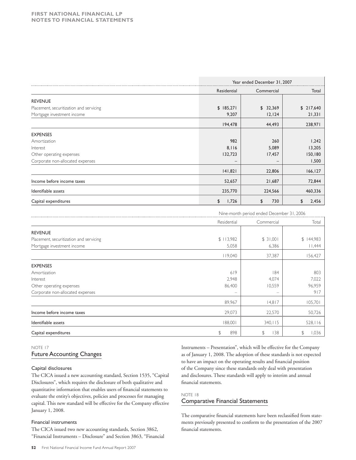|                                         | Year ended December 31, 2007 |            |             |  |
|-----------------------------------------|------------------------------|------------|-------------|--|
|                                         | Residential                  | Commercial | Total       |  |
| <b>REVENUE</b>                          |                              |            |             |  |
| Placement, securitization and servicing | \$185,271                    | \$32,369   | \$217,640   |  |
| Mortgage investment income              | 9,207                        | 12, 124    | 21,331      |  |
|                                         | 194,478                      | 44,493     | 238,971     |  |
| <b>EXPENSES</b>                         |                              |            |             |  |
| Amortization                            | 982                          | 260        | 1,242       |  |
| Interest                                | 8,116                        | 5,089      | 13,205      |  |
| Other operating expenses                | 132,723                      | 17,457     | 150,180     |  |
| Corporate non-allocated expenses        | $\overline{\phantom{m}}$     |            | 1,500       |  |
|                                         | 141,821                      | 22,806     | 166, 127    |  |
| Income before income taxes              | 52,657                       | 21,687     | 72,844      |  |
| Identifiable assets                     | 235,770                      | 224,566    | 460,336     |  |
| Capital expenditures                    | 1,726<br>\$                  | 730<br>\$  | 2,456<br>\$ |  |

|                                         | Residential              | Commercial | Total                     |
|-----------------------------------------|--------------------------|------------|---------------------------|
| <b>REVENUE</b>                          |                          |            |                           |
| Placement, securitization and servicing | \$113,982                | \$31,001   | $\mathfrak{D}$<br>144,983 |
| Mortgage investment income              | 5,058                    | 6,386      | 11,444                    |
|                                         | 119,040                  | 37,387     | 156,427                   |
| <b>EXPENSES</b>                         |                          |            |                           |
| Amortization                            | 619                      | 184        | 803                       |
| Interest                                | 2,948                    | 4,074      | 7,022                     |
| Other operating expenses                | 86,400                   | 10,559     | 96,959                    |
| Corporate non-allocated expenses        | $\overline{\phantom{0}}$ |            | 917                       |
|                                         | 89,967                   | 14,817     | 105,701                   |
| Income before income taxes              | 29,073                   | 22,570     | 50,726                    |
| Identifiable assets                     | 188,001                  | 340, I 15  | 528, 116                  |
| Capital expenditures                    | 898<br>\$                | 138<br>\$  | 1,036<br>\$               |

## NOTE 17 Future Accounting Changes

## Capital disclosures

The CICA issued a new accounting standard, Section 1535, "Capital Disclosures", which requires the disclosure of both qualitative and quantitative information that enables users of financial statements to evaluate the entity's objectives, policies and processes for managing capital. This new standard will be effective for the Company effective January 1, 2008.

## Financial instruments

The CICA issued two new accounting standards, Section 3862, "Financial Instruments – Disclosure" and Section 3863, "Financial

Instruments – Presentation", which will be effective for the Company as of January 1, 2008. The adoption of these standards is not expected to have an impact on the operating results and financial position of the Company since these standards only deal with presentation and disclosures. These standards will apply to interim and annual financial statements.

Nine-month period ended December 31, 2006

## NOTE 18 Comparative Financial Statements

The comparative financial statements have been reclassified from statements previously presented to conform to the presentation of the 2007 financial statements.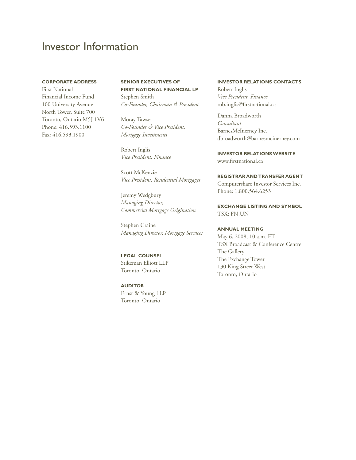# Investor Information

## **corporate address**

First National Financial Income Fund 100 University Avenue North Tower, Suite 700 Toronto, Ontario M5J 1V6 Phone: 416.593.1100 Fax: 416.593.1900

## **Senior Executives of First National Financial LP** Stephen Smith

*Co-Founder, Chairman & President*

Moray Tawse *Co-Founder & Vice President, Mortgage Investments*

Robert Inglis *Vice President, Finance*

Scott McKenzie *Vice President, Residential Mortgages*

Jeremy Wedgbury *Managing Director, Commercial Mortgage Origination*

Stephen Craine *Managing Director, Mortgage Services*

# **Legal Counsel**

Stikeman Elliott LLP Toronto, Ontario

**Auditor** Ernst & Young LLP Toronto, Ontario

## **Investor Relations Contacts**

Robert Inglis *Vice President, Finance* rob.inglis@firstnational.ca

Danna Broadworth *Consultant* BarnesMcInerney Inc. dbroadworth@barnesmcinerney.com

**Investor Relations Website** www.firstnational.ca

## **Registrar and Transfer Agent**

Computershare Investor Services Inc. Phone: 1.800.564.6253

**Exchange Listing and Symbol** TSX: FN.UN

## **Annual Meeting**

May 6, 2008, 10 a.m. ET TSX Broadcast & Conference Centre The Gallery The Exchange Tower 130 King Street West Toronto, Ontario